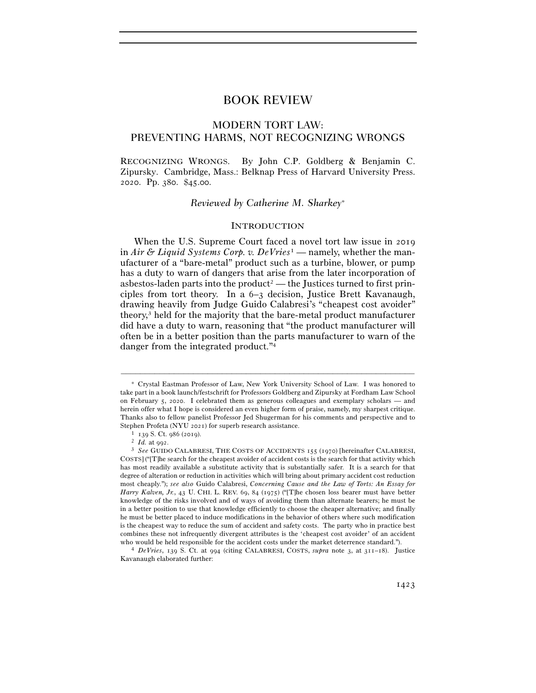# BOOK REVIEW

# MODERN TORT LAW: PREVENTING HARMS, NOT RECOGNIZING WRONGS

RECOGNIZING WRONGS. By John C.P. Goldberg & Benjamin C. Zipursky. Cambridge, Mass.: Belknap Press of Harvard University Press. 2020. Pp. 380. \$45.00.

### *Reviewed by Catherine M. Sharkey*<sup>∗</sup>

### **INTRODUCTION**

When the U.S. Supreme Court faced a novel tort law issue in 2019 in *Air & Liquid Systems Corp. v. DeVries*1 — namely, whether the manufacturer of a "bare-metal" product such as a turbine, blower, or pump has a duty to warn of dangers that arise from the later incorporation of asbestos-laden parts into the product<sup>2</sup> — the Justices turned to first principles from tort theory. In a 6–3 decision, Justice Brett Kavanaugh, drawing heavily from Judge Guido Calabresi's "cheapest cost avoider" theory,3 held for the majority that the bare-metal product manufacturer did have a duty to warn, reasoning that "the product manufacturer will often be in a better position than the parts manufacturer to warn of the danger from the integrated product."4

<sup>∗</sup> Crystal Eastman Professor of Law, New York University School of Law. I was honored to take part in a book launch/festschrift for Professors Goldberg and Zipursky at Fordham Law School on February 5, 2020. I celebrated them as generous colleagues and exemplary scholars — and herein offer what I hope is considered an even higher form of praise, namely, my sharpest critique. Thanks also to fellow panelist Professor Jed Shugerman for his comments and perspective and to

<sup>&</sup>lt;sup>1</sup> 139 S. Ct. 986 (2019).<br><sup>2</sup> *Id.* at 992.<br><sup>3</sup> *See* GUIDO CALABRESI, THE COSTS OF ACCIDENTS 155 (1970) [hereinafter CALABRESI, COSTS] ("[T]he search for the cheapest avoider of accident costs is the search for that activity which has most readily available a substitute activity that is substantially safer. It is a search for that degree of alteration or reduction in activities which will bring about primary accident cost reduction most cheaply."); *see also* Guido Calabresi, *Concerning Cause and the Law of Torts: An Essay for Harry Kalven, Jr.*, 43 U. CHI. L. REV. 69, 84 (1975) ("[T]he chosen loss bearer must have better knowledge of the risks involved and of ways of avoiding them than alternate bearers; he must be in a better position to use that knowledge efficiently to choose the cheaper alternative; and finally he must be better placed to induce modifications in the behavior of others where such modification is the cheapest way to reduce the sum of accident and safety costs. The party who in practice best combines these not infrequently divergent attributes is the 'cheapest cost avoider' of an accident who would be held responsible for the accident costs under the market deterrence standard."). 4 *DeVries*, 139 S. Ct. at 994 (citing CALABRESI, COSTS, *supra* note 3, at <sup>311</sup>–18). Justice

Kavanaugh elaborated further: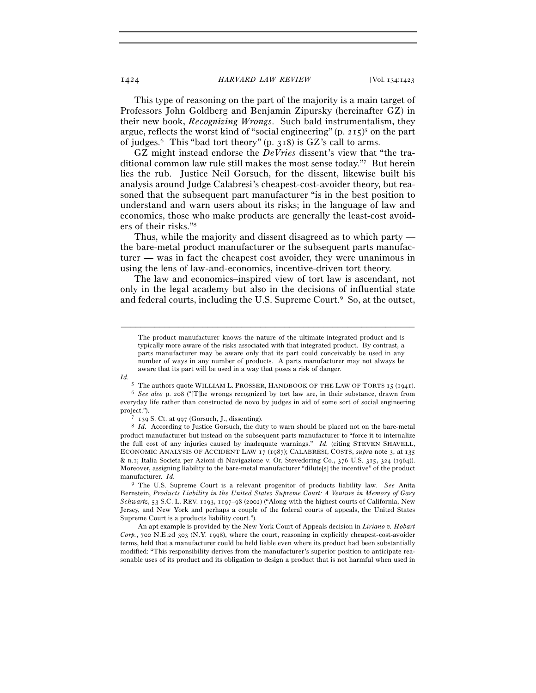This type of reasoning on the part of the majority is a main target of Professors John Goldberg and Benjamin Zipursky (hereinafter GZ) in their new book, *Recognizing Wrongs*. Such bald instrumentalism, they argue, reflects the worst kind of "social engineering" (p. 215) 5 on the part of judges.6 This "bad tort theory" (p. 318) is GZ's call to arms.

GZ might instead endorse the *DeVries* dissent's view that "the traditional common law rule still makes the most sense today."7 But herein lies the rub. Justice Neil Gorsuch, for the dissent, likewise built his analysis around Judge Calabresi's cheapest-cost-avoider theory, but reasoned that the subsequent part manufacturer "is in the best position to understand and warn users about its risks; in the language of law and economics, those who make products are generally the least-cost avoiders of their risks."8

Thus, while the majority and dissent disagreed as to which party the bare-metal product manufacturer or the subsequent parts manufacturer — was in fact the cheapest cost avoider, they were unanimous in using the lens of law-and-economics, incentive-driven tort theory.

The law and economics–inspired view of tort law is ascendant, not only in the legal academy but also in the decisions of influential state and federal courts, including the U.S. Supreme Court.9 So, at the outset,

–––––––––––––––––––––––––––––––––––––––––––––––––––––––––––––

*Id.* 

product manufacturer but instead on the subsequent parts manufacturer to "force it to internalize the full cost of any injuries caused by inadequate warnings." *Id.* (citing STEVEN SHAVELL, ECONOMIC ANALYSIS OF ACCIDENT LAW 17 (1987); CALABRESI, COSTS, *supra* note 3, at 135 & n.1; Italia Societa per Azioni di Navigazione v. Or. Stevedoring Co., 376 U.S. 315, 324 (1964)). Moreover, assigning liability to the bare-metal manufacturer "dilute[s] the incentive" of the product manufacturer. *Id.*

9 The U.S. Supreme Court is a relevant progenitor of products liability law. *See* Anita Bernstein, *Products Liability in the United States Supreme Court: A Venture in Memory of Gary Schwartz*, 53 S.C. L. REV. 1193, 1197–98 (2002) ("Along with the highest courts of California, New Jersey, and New York and perhaps a couple of the federal courts of appeals, the United States Supreme Court is a products liability court.").

 An apt example is provided by the New York Court of Appeals decision in *Liriano v. Hobart Corp.*, 700 N.E.2d 303 (N.Y. 1998), where the court, reasoning in explicitly cheapest-cost-avoider terms, held that a manufacturer could be held liable even where its product had been substantially modified: "This responsibility derives from the manufacturer's superior position to anticipate reasonable uses of its product and its obligation to design a product that is not harmful when used in

The product manufacturer knows the nature of the ultimate integrated product and is typically more aware of the risks associated with that integrated product. By contrast, a parts manufacturer may be aware only that its part could conceivably be used in any number of ways in any number of products. A parts manufacturer may not always be aware that its part will be used in a way that poses a risk of danger.

<sup>5</sup> The authors quote WILLIAM L. PROSSER, HANDBOOK OF THE LAW OF TORTS <sup>15</sup> (<sup>1941</sup>). 6 *See also* p. 208 ("[T]he wrongs recognized by tort law are, in their substance, drawn from everyday life rather than constructed de novo by judges in aid of some sort of social engineering project.").<br><sup>7</sup> 139 S. Ct. at 997 (Gorsuch, J., dissenting).<br><sup>8</sup> *Id.* According to Justice Gorsuch, the duty to warn should be placed not on the bare-metal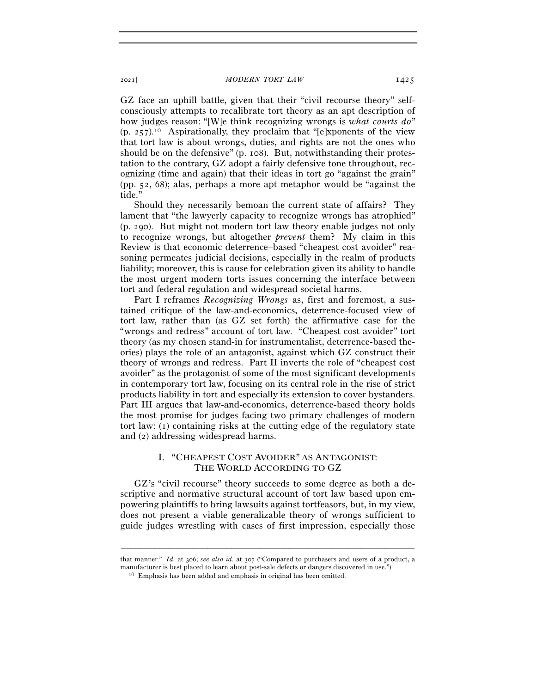GZ face an uphill battle, given that their "civil recourse theory" selfconsciously attempts to recalibrate tort theory as an apt description of how judges reason: "[W]e think recognizing wrongs is *what courts do*"  $(p. 257).$ <sup>10</sup> Aspirationally, they proclaim that "[e]xponents of the view that tort law is about wrongs, duties, and rights are not the ones who should be on the defensive" (p. 108). But, notwithstanding their protestation to the contrary, GZ adopt a fairly defensive tone throughout, recognizing (time and again) that their ideas in tort go "against the grain" (pp. 52, 68); alas, perhaps a more apt metaphor would be "against the tide."

Should they necessarily bemoan the current state of affairs? They lament that "the lawyerly capacity to recognize wrongs has atrophied" (p. 290). But might not modern tort law theory enable judges not only to recognize wrongs, but altogether *prevent* them? My claim in this Review is that economic deterrence–based "cheapest cost avoider" reasoning permeates judicial decisions, especially in the realm of products liability; moreover, this is cause for celebration given its ability to handle the most urgent modern torts issues concerning the interface between tort and federal regulation and widespread societal harms.

Part I reframes *Recognizing Wrongs* as, first and foremost, a sustained critique of the law-and-economics, deterrence-focused view of tort law, rather than (as GZ set forth) the affirmative case for the "wrongs and redress" account of tort law. "Cheapest cost avoider" tort theory (as my chosen stand-in for instrumentalist, deterrence-based theories) plays the role of an antagonist, against which GZ construct their theory of wrongs and redress. Part II inverts the role of "cheapest cost avoider" as the protagonist of some of the most significant developments in contemporary tort law, focusing on its central role in the rise of strict products liability in tort and especially its extension to cover bystanders. Part III argues that law-and-economics, deterrence-based theory holds the most promise for judges facing two primary challenges of modern tort law: (1) containing risks at the cutting edge of the regulatory state and (2) addressing widespread harms.

# I. "CHEAPEST COST AVOIDER" AS ANTAGONIST: THE WORLD ACCORDING TO GZ

GZ's "civil recourse" theory succeeds to some degree as both a descriptive and normative structural account of tort law based upon empowering plaintiffs to bring lawsuits against tortfeasors, but, in my view, does not present a viable generalizable theory of wrongs sufficient to guide judges wrestling with cases of first impression, especially those

<sup>–––––––––––––––––––––––––––––––––––––––––––––––––––––––––––––</sup> that manner." *Id.* at 306; *see also id.* at 307 ("Compared to purchasers and users of a product, a manufacturer is best placed to learn about post-sale defects or dangers discovered in use."). 10 Emphasis has been added and emphasis in original has been omitted.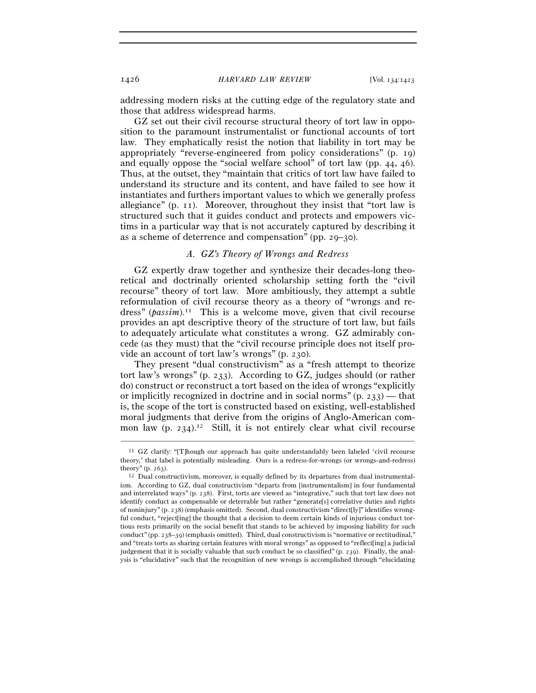addressing modern risks at the cutting edge of the regulatory state and those that address widespread harms.

GZ set out their civil recourse structural theory of tort law in opposition to the paramount instrumentalist or functional accounts of tort law. They emphatically resist the notion that liability in tort may be appropriately "reverse-engineered from policy considerations" (p. 19) and equally oppose the "social welfare school" of tort law (pp. 44, 46). Thus, at the outset, they "maintain that critics of tort law have failed to understand its structure and its content, and have failed to see how it instantiates and furthers important values to which we generally profess allegiance" (p. 11). Moreover, throughout they insist that "tort law is structured such that it guides conduct and protects and empowers victims in a particular way that is not accurately captured by describing it as a scheme of deterrence and compensation" (pp. 29–30).

## *A. GZ's Theory of Wrongs and Redress*

GZ expertly draw together and synthesize their decades-long theoretical and doctrinally oriented scholarship setting forth the "civil recourse" theory of tort law. More ambitiously, they attempt a subtle reformulation of civil recourse theory as a theory of "wrongs and redress" (*passim*).<sup>11</sup> This is a welcome move, given that civil recourse provides an apt descriptive theory of the structure of tort law, but fails to adequately articulate what constitutes a wrong. GZ admirably concede (as they must) that the "civil recourse principle does not itself provide an account of tort law's wrongs" (p. 230).

They present "dual constructivism" as a "fresh attempt to theorize tort law's wrongs" (p. 233). According to GZ, judges should (or rather do) construct or reconstruct a tort based on the idea of wrongs "explicitly or implicitly recognized in doctrine and in social norms"  $(p, 233)$  — that is, the scope of the tort is constructed based on existing, well-established moral judgments that derive from the origins of Anglo-American common law  $(p. 234).<sup>12</sup>$  Still, it is not entirely clear what civil recourse

<sup>11</sup> GZ clarify: "[T]hough our approach has quite understandably been labeled 'civil recourse theory,' that label is potentially misleading. Ours is a redress-for-wrongs (or wrongs-and-redress) theory" (p. 263).<br><sup>12</sup> Dual constructivism, moreover, is equally defined by its departures from dual instrumental-

ism. According to GZ, dual constructivism "departs from [instrumentalism] in four fundamental and interrelated ways" (p. 238). First, torts are viewed as "integrative," such that tort law does not identify conduct as compensable or deterrable but rather "generate[s] correlative duties and rights of noninjury" (p. 238) (emphasis omitted). Second, dual constructivism "direct[ly]" identifies wrongful conduct, "reject[ing] the thought that a decision to deem certain kinds of injurious conduct tortious rests primarily on the social benefit that stands to be achieved by imposing liability for such conduct" (pp. 238–39) (emphasis omitted). Third, dual constructivism is "normative or rectitudinal," and "treats torts as sharing certain features with moral wrongs" as opposed to "reflect[ing] a judicial judgement that it is socially valuable that such conduct be so classified" (p. 239). Finally, the analysis is "elucidative" such that the recognition of new wrongs is accomplished through "elucidating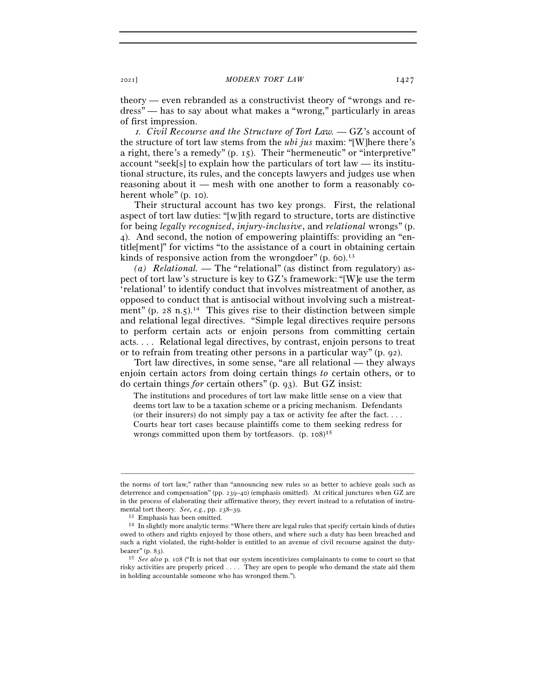theory — even rebranded as a constructivist theory of "wrongs and redress" — has to say about what makes a "wrong," particularly in areas of first impression.

<sup>1</sup>*. Civil Recourse and the Structure of Tort Law.* — GZ's account of the structure of tort law stems from the *ubi jus* maxim: "[W]here there's a right, there's a remedy" (p. 15). Their "hermeneutic" or "interpretive" account "seek[s] to explain how the particulars of tort law — its institutional structure, its rules, and the concepts lawyers and judges use when reasoning about it — mesh with one another to form a reasonably coherent whole" (p. 10).

Their structural account has two key prongs. First, the relational aspect of tort law duties: "[w]ith regard to structure, torts are distinctive for being *legally recognized*, *injury-inclusive*, and *relational* wrongs" (p. 4). And second, the notion of empowering plaintiffs: providing an "entitle[ment]" for victims "to the assistance of a court in obtaining certain kinds of responsive action from the wrongdoer"  $(p, 60)$ .<sup>13</sup>

*(a) Relational.* — The "relational" (as distinct from regulatory) aspect of tort law's structure is key to GZ's framework: "[W]e use the term 'relational' to identify conduct that involves mistreatment of another, as opposed to conduct that is antisocial without involving such a mistreatment" (p. 28 n.5).<sup>14</sup> This gives rise to their distinction between simple and relational legal directives. "Simple legal directives require persons to perform certain acts or enjoin persons from committing certain acts. . . . Relational legal directives, by contrast, enjoin persons to treat or to refrain from treating other persons in a particular way" (p. 92).

Tort law directives, in some sense, "are all relational — they always enjoin certain actors from doing certain things *to* certain others, or to do certain things *for* certain others" (p. 93). But GZ insist:

The institutions and procedures of tort law make little sense on a view that deems tort law to be a taxation scheme or a pricing mechanism. Defendants (or their insurers) do not simply pay a tax or activity fee after the fact.... Courts hear tort cases because plaintiffs come to them seeking redress for wrongs committed upon them by tortfeasors. (p. 108) 15

the norms of tort law," rather than "announcing new rules so as better to achieve goals such as deterrence and compensation" (pp. 239–40) (emphasis omitted). At critical junctures when GZ are in the process of elaborating their affirmative theory, they revert instead to a refutation of instru-

mental tort theory. *See, e.g.*, pp. 238–39.<br><sup>13</sup> Emphasis has been omitted.<br><sup>14</sup> In slightly more analytic terms: "Where there are legal rules that specify certain kinds of duties owed to others and rights enjoyed by those others, and where such a duty has been breached and such a right violated, the right-holder is entitled to an avenue of civil recourse against the duty-

bearer" (p. <sup>83</sup>). 15 *See also* p. 108 ("It is not that our system incentivizes complainants to come to court so that risky activities are properly priced . . . . They are open to people who demand the state aid them in holding accountable someone who has wronged them.").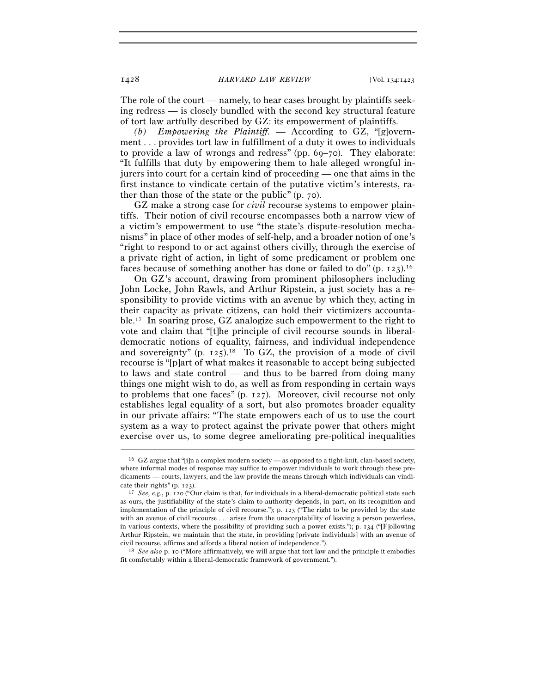The role of the court — namely, to hear cases brought by plaintiffs seeking redress — is closely bundled with the second key structural feature of tort law artfully described by GZ: its empowerment of plaintiffs.

*(b) Empowering the Plaintiff.* — According to GZ, "[g]overnment . . . provides tort law in fulfillment of a duty it owes to individuals to provide a law of wrongs and redress" (pp. 69–70). They elaborate: "It fulfills that duty by empowering them to hale alleged wrongful injurers into court for a certain kind of proceeding — one that aims in the first instance to vindicate certain of the putative victim's interests, rather than those of the state or the public" (p. 70).

GZ make a strong case for *civil* recourse systems to empower plaintiffs. Their notion of civil recourse encompasses both a narrow view of a victim's empowerment to use "the state's dispute-resolution mechanisms" in place of other modes of self-help, and a broader notion of one's "right to respond to or act against others civilly, through the exercise of a private right of action, in light of some predicament or problem one faces because of something another has done or failed to do"  $(p, 123)$ .<sup>16</sup>

On GZ's account, drawing from prominent philosophers including John Locke, John Rawls, and Arthur Ripstein, a just society has a responsibility to provide victims with an avenue by which they, acting in their capacity as private citizens, can hold their victimizers accountable.17 In soaring prose, GZ analogize such empowerment to the right to vote and claim that "[t]he principle of civil recourse sounds in liberaldemocratic notions of equality, fairness, and individual independence and sovereignty" (p.  $125$ ).<sup>18</sup> To GZ, the provision of a mode of civil recourse is "[p]art of what makes it reasonable to accept being subjected to laws and state control — and thus to be barred from doing many things one might wish to do, as well as from responding in certain ways to problems that one faces" (p. 127). Moreover, civil recourse not only establishes legal equality of a sort, but also promotes broader equality in our private affairs: "The state empowers each of us to use the court system as a way to protect against the private power that others might exercise over us, to some degree ameliorating pre-political inequalities

–––––––––––––––––––––––––––––––––––––––––––––––––––––––––––––

fit comfortably within a liberal-democratic framework of government.").

<sup>16</sup> GZ argue that "[i]n a complex modern society — as opposed to a tight-knit, clan-based society, where informal modes of response may suffice to empower individuals to work through these predicaments — courts, lawyers, and the law provide the means through which individuals can vindicate their rights" (p. <sup>123</sup>). 17 *See, e.g.*, p. 120 ("Our claim is that, for individuals in a liberal-democratic political state such

as ours, the justifiability of the state's claim to authority depends, in part, on its recognition and implementation of the principle of civil recourse."); p. 123 ("The right to be provided by the state with an avenue of civil recourse . . . arises from the unacceptability of leaving a person powerless, in various contexts, where the possibility of providing such a power exists."); p. 134 ("[F]ollowing Arthur Ripstein, we maintain that the state, in providing [private individuals] with an avenue of civil recourse, affirms and affords a liberal notion of independence."). 18 *See also* p. 10 ("More affirmatively, we will argue that tort law and the principle it embodies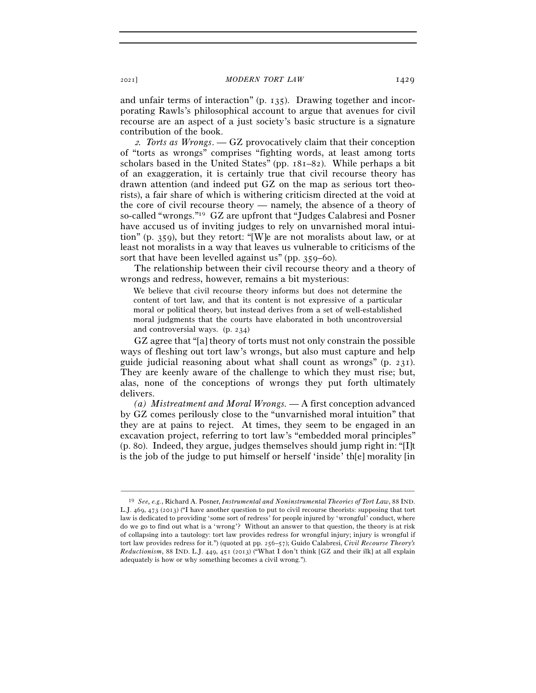and unfair terms of interaction" (p. 135). Drawing together and incorporating Rawls's philosophical account to argue that avenues for civil recourse are an aspect of a just society's basic structure is a signature contribution of the book.

<sup>2</sup>*. Torts as Wrongs*. — GZ provocatively claim that their conception of "torts as wrongs" comprises "fighting words, at least among torts scholars based in the United States" (pp. 181–82). While perhaps a bit of an exaggeration, it is certainly true that civil recourse theory has drawn attention (and indeed put GZ on the map as serious tort theorists), a fair share of which is withering criticism directed at the void at the core of civil recourse theory — namely, the absence of a theory of so-called "wrongs."19 GZ are upfront that "Judges Calabresi and Posner have accused us of inviting judges to rely on unvarnished moral intuition" (p. 359), but they retort: "[W]e are not moralists about law, or at least not moralists in a way that leaves us vulnerable to criticisms of the sort that have been levelled against us" (pp. 359–60).

The relationship between their civil recourse theory and a theory of wrongs and redress, however, remains a bit mysterious:

We believe that civil recourse theory informs but does not determine the content of tort law, and that its content is not expressive of a particular moral or political theory, but instead derives from a set of well-established moral judgments that the courts have elaborated in both uncontroversial and controversial ways. (p. 234)

GZ agree that "[a] theory of torts must not only constrain the possible ways of fleshing out tort law's wrongs, but also must capture and help guide judicial reasoning about what shall count as wrongs" (p. 231). They are keenly aware of the challenge to which they must rise; but, alas, none of the conceptions of wrongs they put forth ultimately delivers.

*(a) Mistreatment and Moral Wrongs.* — A first conception advanced by GZ comes perilously close to the "unvarnished moral intuition" that they are at pains to reject. At times, they seem to be engaged in an excavation project, referring to tort law's "embedded moral principles" (p. 80). Indeed, they argue, judges themselves should jump right in: "[I]t is the job of the judge to put himself or herself 'inside' th[e] morality [in

<sup>19</sup> *See, e.g.*, Richard A. Posner, *Instrumental and Noninstrumental Theories of Tort Law*, 88 IND. L.J. 469, 473 (2013) ("I have another question to put to civil recourse theorists: supposing that tort law is dedicated to providing 'some sort of redress' for people injured by 'wrongful' conduct, where do we go to find out what is a 'wrong'? Without an answer to that question, the theory is at risk of collapsing into a tautology: tort law provides redress for wrongful injury; injury is wrongful if tort law provides redress for it.") (quoted at pp. 256–57); Guido Calabresi, *Civil Recourse Theory's Reductionism*, 88 IND. L.J. 449, 451 (2013) ("What I don't think [GZ and their ilk] at all explain adequately is how or why something becomes a civil wrong.").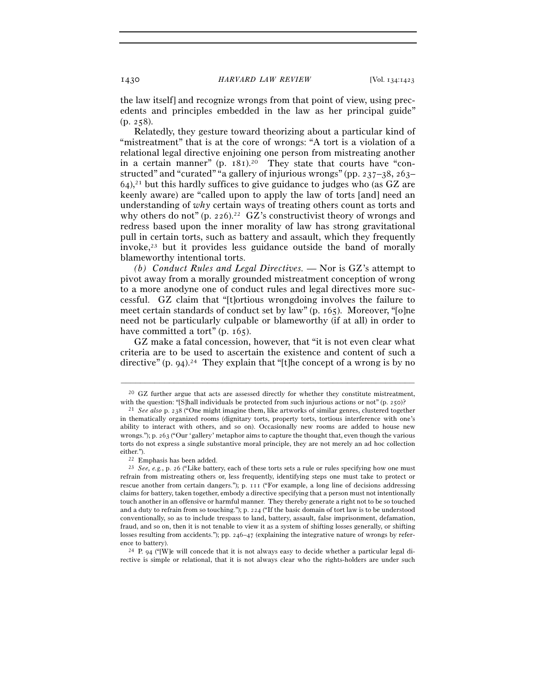the law itself] and recognize wrongs from that point of view, using precedents and principles embedded in the law as her principal guide" (p. 258).

Relatedly, they gesture toward theorizing about a particular kind of "mistreatment" that is at the core of wrongs: "A tort is a violation of a relational legal directive enjoining one person from mistreating another in a certain manner"  $(p. 181)<sup>20</sup>$  They state that courts have "constructed" and "curated" "a gallery of injurious wrongs" (pp. 237–38, 263–  $64$ ),<sup>21</sup> but this hardly suffices to give guidance to judges who (as GZ are keenly aware) are "called upon to apply the law of torts [and] need an understanding of *why* certain ways of treating others count as torts and why others do not" (p. 226).<sup>22</sup> GZ's constructivist theory of wrongs and redress based upon the inner morality of law has strong gravitational pull in certain torts, such as battery and assault, which they frequently invoke, $23$  but it provides less guidance outside the band of morally blameworthy intentional torts.

*(b) Conduct Rules and Legal Directives.* — Nor is GZ's attempt to pivot away from a morally grounded mistreatment conception of wrong to a more anodyne one of conduct rules and legal directives more successful. GZ claim that "[t]ortious wrongdoing involves the failure to meet certain standards of conduct set by law" (p. 165). Moreover, "[o]ne need not be particularly culpable or blameworthy (if at all) in order to have committed a tort" (p. 165).

GZ make a fatal concession, however, that "it is not even clear what criteria are to be used to ascertain the existence and content of such a directive" (p. 94).<sup>24</sup> They explain that "[t]he concept of a wrong is by no

rective is simple or relational, that it is not always clear who the rights-holders are under such

<sup>–––––––––––––––––––––––––––––––––––––––––––––––––––––––––––––</sup>  $20$  GZ further argue that acts are assessed directly for whether they constitute mistreatment, with the question: "[S]hall individuals be protected from such injurious actions or not" (p. 250)?<br><sup>21</sup> *See also* p. 238 ("One might imagine them, like artworks of similar genres, clustered together

in thematically organized rooms (dignitary torts, property torts, tortious interference with one's ability to interact with others, and so on). Occasionally new rooms are added to house new wrongs."); p. 263 ("Our 'gallery' metaphor aims to capture the thought that, even though the various torts do not express a single substantive moral principle, they are not merely an ad hoc collection either.").<br><sup>22</sup> Emphasis has been added.<br><sup>23</sup> *See*, e.g., p. 26 ("Like battery, each of these torts sets a rule or rules specifying how one must

refrain from mistreating others or, less frequently, identifying steps one must take to protect or rescue another from certain dangers."); p. 111 ("For example, a long line of decisions addressing claims for battery, taken together, embody a directive specifying that a person must not intentionally touch another in an offensive or harmful manner. They thereby generate a right not to be so touched and a duty to refrain from so touching."); p. 224 ("If the basic domain of tort law is to be understood conventionally, so as to include trespass to land, battery, assault, false imprisonment, defamation, fraud, and so on, then it is not tenable to view it as a system of shifting losses generally, or shifting losses resulting from accidents."); pp. 246–47 (explaining the integrative nature of wrongs by reference to battery).<br><sup>24</sup> P. 94 ("[W]e will concede that it is not always easy to decide whether a particular legal di-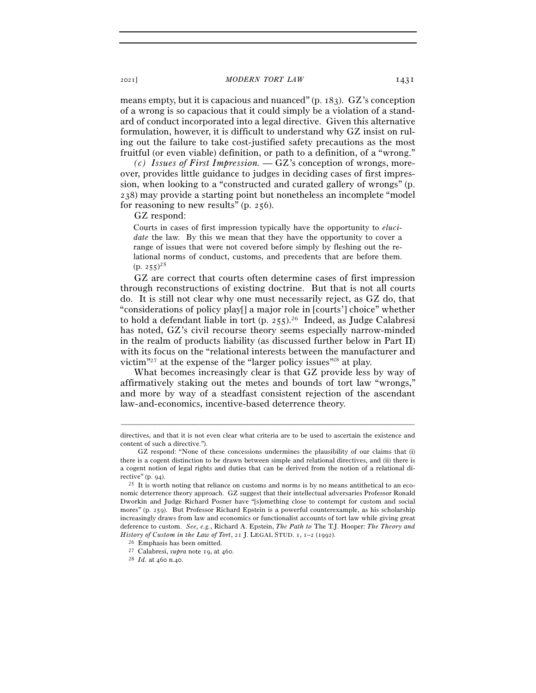means empty, but it is capacious and nuanced" (p. 183). GZ's conception of a wrong is so capacious that it could simply be a violation of a standard of conduct incorporated into a legal directive. Given this alternative formulation, however, it is difficult to understand why GZ insist on ruling out the failure to take cost-justified safety precautions as the most fruitful (or even viable) definition, or path to a definition, of a "wrong."

*(c) Issues of First Impression.* — GZ's conception of wrongs, moreover, provides little guidance to judges in deciding cases of first impression, when looking to a "constructed and curated gallery of wrongs" (p. 238) may provide a starting point but nonetheless an incomplete "model for reasoning to new results" (p. 256).

GZ respond:

Courts in cases of first impression typically have the opportunity to *elucidate* the law. By this we mean that they have the opportunity to cover a range of issues that were not covered before simply by fleshing out the relational norms of conduct, customs, and precedents that are before them.  $(p. 255)^{25}$ 

GZ are correct that courts often determine cases of first impression through reconstructions of existing doctrine. But that is not all courts do. It is still not clear why one must necessarily reject, as GZ do, that "considerations of policy play[] a major role in [courts'] choice" whether to hold a defendant liable in tort (p. 255).26 Indeed, as Judge Calabresi has noted, GZ's civil recourse theory seems especially narrow-minded in the realm of products liability (as discussed further below in Part II) with its focus on the "relational interests between the manufacturer and victim"27 at the expense of the "larger policy issues"28 at play.

What becomes increasingly clear is that GZ provide less by way of affirmatively staking out the metes and bounds of tort law "wrongs," and more by way of a steadfast consistent rejection of the ascendant law-and-economics, incentive-based deterrence theory.

<sup>–––––––––––––––––––––––––––––––––––––––––––––––––––––––––––––</sup> directives, and that it is not even clear what criteria are to be used to ascertain the existence and content of such a directive.").

GZ respond: "None of these concessions undermines the plausibility of our claims that (i) there is a cogent distinction to be drawn between simple and relational directives, and (ii) there is a cogent notion of legal rights and duties that can be derived from the notion of a relational directive" (p. <sup>94</sup>). 25 It is worth noting that reliance on customs and norms is by no means antithetical to an eco-

nomic deterrence theory approach. GZ suggest that their intellectual adversaries Professor Ronald Dworkin and Judge Richard Posner have "[s]omething close to contempt for custom and social mores" (p. 259). But Professor Richard Epstein is a powerful counterexample, as his scholarship increasingly draws from law and economics or functionalist accounts of tort law while giving great deference to custom. *See, e.g.*, Richard A. Epstein, *The Path to* The T.J. Hooper*: The Theory and History of Custom in the Law of Tort*, 21 J. LEGAL STUD. 1, 1–2 (1992).<br><sup>26</sup> Emphasis has been omitted. <sup>27</sup> Calabresi, *supra* note 19, at 460. <sup>28</sup> *Id.* at 460 n.40.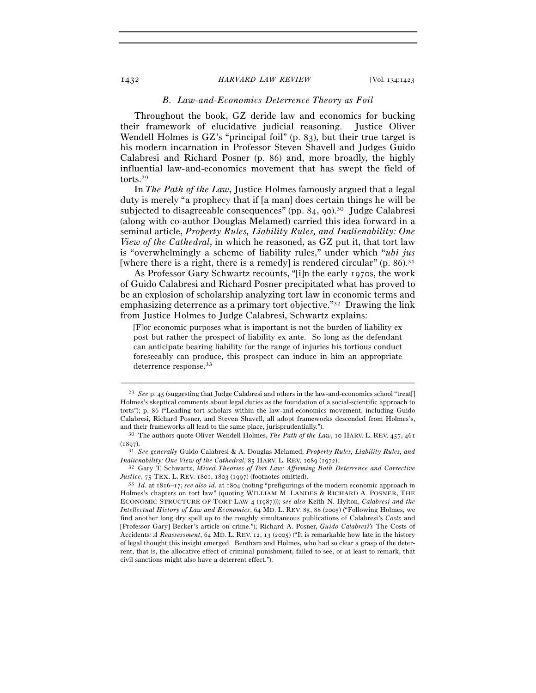## *B. Law-and-Economics Deterrence Theory as Foil*

Throughout the book, GZ deride law and economics for bucking their framework of elucidative judicial reasoning. Justice Oliver Wendell Holmes is GZ's "principal foil" (p. 83), but their true target is his modern incarnation in Professor Steven Shavell and Judges Guido Calabresi and Richard Posner (p. 86) and, more broadly, the highly influential law-and-economics movement that has swept the field of torts.29

In *The Path of the Law*, Justice Holmes famously argued that a legal duty is merely "a prophecy that if [a man] does certain things he will be subjected to disagreeable consequences" (pp. 84, 90).<sup>30</sup> Judge Calabresi (along with co-author Douglas Melamed) carried this idea forward in a seminal article, *Property Rules, Liability Rules, and Inalienability: One View of the Cathedral*, in which he reasoned, as GZ put it, that tort law is "overwhelmingly a scheme of liability rules," under which "*ubi jus* [where there is a right, there is a remedy] is rendered circular"  $(p, 86)$ .<sup>31</sup>

As Professor Gary Schwartz recounts, "[i]n the early 1970s, the work of Guido Calabresi and Richard Posner precipitated what has proved to be an explosion of scholarship analyzing tort law in economic terms and emphasizing deterrence as a primary tort objective."32 Drawing the link from Justice Holmes to Judge Calabresi, Schwartz explains:

[F]or economic purposes what is important is not the burden of liability ex post but rather the prospect of liability ex ante. So long as the defendant can anticipate bearing liability for the range of injuries his tortious conduct foreseeably can produce, this prospect can induce in him an appropriate deterrence response.<sup>33</sup>

<sup>29</sup> *See* p. 45 (suggesting that Judge Calabresi and others in the law-and-economics school "treat[] Holmes's skeptical comments about legal duties as the foundation of a social-scientific approach to torts"); p. 86 ("Leading tort scholars within the law-and-economics movement, including Guido Calabresi, Richard Posner, and Steven Shavell, all adopt frameworks descended from Holmes's, and their frameworks all lead to the same place, jurisprudentially."). 30 The authors quote Oliver Wendell Holmes, *The Path of the Law*, 10 HARV. L. REV. 457, <sup>461</sup>

<sup>(</sup><sup>1897</sup>). 31 *See generally* Guido Calabresi & A. Douglas Melamed, *Property Rules, Liability Rules, and Inalienability: One View of the Cathedral*, 85 HARV. L. REV. 1089 (<sup>1972</sup>). 32 Gary T. Schwartz, *Mixed Theories of Tort Law: Affirming Both Deterrence and Corrective* 

*Justice*, 75 TEX. L. REV. 1801, 1803 (<sup>1997</sup>) (footnotes omitted). 33 *Id.* at 1816–17; *see also id.* at 1804 (noting "prefigurings of the modern economic approach in

Holmes's chapters on tort law" (quoting WILLIAM M. LANDES & RICHARD A. POSNER, THE ECONOMIC STRUCTURE OF TORT LAW 4 (1987))); *see also* Keith N. Hylton, *Calabresi and the Intellectual History of Law and Economics*, 64 MD. L. REV. 85, 88 (2005) ("Following Holmes, we find another long dry spell up to the roughly simultaneous publications of Calabresi's *Costs* and [Professor Gary] Becker's article on crime."); Richard A. Posner, *Guido Calabresi's* The Costs of Accidents*: A Reassessment*, 64 MD. L. REV. 12, 13 (2005) ("It is remarkable how late in the history of legal thought this insight emerged. Bentham and Holmes, who had so clear a grasp of the deterrent, that is, the allocative effect of criminal punishment, failed to see, or at least to remark, that civil sanctions might also have a deterrent effect.").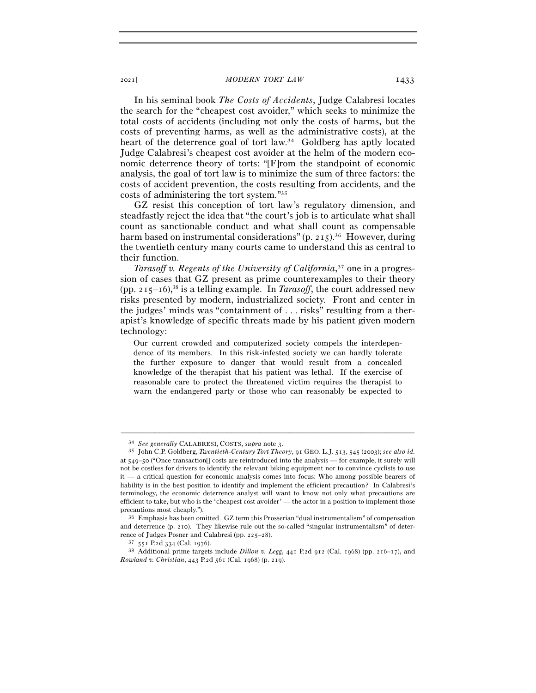In his seminal book *The Costs of Accidents*, Judge Calabresi locates the search for the "cheapest cost avoider," which seeks to minimize the total costs of accidents (including not only the costs of harms, but the costs of preventing harms, as well as the administrative costs), at the heart of the deterrence goal of tort law.<sup>34</sup> Goldberg has aptly located Judge Calabresi's cheapest cost avoider at the helm of the modern economic deterrence theory of torts: "[F]rom the standpoint of economic analysis, the goal of tort law is to minimize the sum of three factors: the costs of accident prevention, the costs resulting from accidents, and the costs of administering the tort system."35

GZ resist this conception of tort law's regulatory dimension, and steadfastly reject the idea that "the court's job is to articulate what shall count as sanctionable conduct and what shall count as compensable harm based on instrumental considerations" (p. 215).<sup>36</sup> However, during the twentieth century many courts came to understand this as central to their function.

*Tarasoff v. Regents of the University of California*, 37 one in a progression of cases that GZ present as prime counterexamples to their theory (pp.  $215-16$ ),<sup>38</sup> is a telling example. In *Tarasoff*, the court addressed new risks presented by modern, industrialized society. Front and center in the judges' minds was "containment of . . . risks" resulting from a therapist's knowledge of specific threats made by his patient given modern technology:

Our current crowded and computerized society compels the interdependence of its members. In this risk-infested society we can hardly tolerate the further exposure to danger that would result from a concealed knowledge of the therapist that his patient was lethal. If the exercise of reasonable care to protect the threatened victim requires the therapist to warn the endangered party or those who can reasonably be expected to

<sup>34</sup> *See generally* CALABRESI, COSTS, *supra* note <sup>3</sup>. 35 John C.P. Goldberg, *Twentieth-Century Tort Theory*, 91 GEO. L.J. 513, 545 (2003); *see also id.* at 549–50 ("Once transaction[] costs are reintroduced into the analysis — for example, it surely will not be costless for drivers to identify the relevant biking equipment nor to convince cyclists to use it — a critical question for economic analysis comes into focus: Who among possible bearers of liability is in the best position to identify and implement the efficient precaution? In Calabresi's terminology, the economic deterrence analyst will want to know not only what precautions are efficient to take, but who is the 'cheapest cost avoider' — the actor in a position to implement those

precautions most cheaply.").<br><sup>36</sup> Emphasis has been omitted. GZ term this Prosserian "dual instrumentalism" of compensation and deterrence (p. 210). They likewise rule out the so-called "singular instrumentalism" of deterrence of Judges Posner and Calabresi (pp. 225–<sup>28</sup>). 37 <sup>551</sup> P.2d 334 (Cal. <sup>1976</sup>). 38 Additional prime targets include *Dillon v. Legg*, 441 P.2d 912 (Cal. 1968) (pp. 216–17), and

*Rowland v. Christian*, 443 P.2d 561 (Cal. 1968) (p. 219).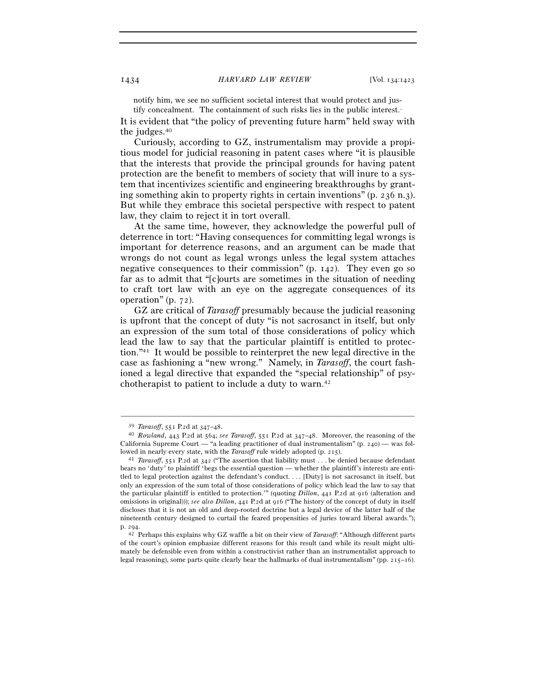notify him, we see no sufficient societal interest that would protect and justify concealment. The containment of such risks lies in the public interest.<sup>36</sup>

It is evident that "the policy of preventing future harm" held sway with the judges.40

Curiously, according to GZ, instrumentalism may provide a propitious model for judicial reasoning in patent cases where "it is plausible that the interests that provide the principal grounds for having patent protection are the benefit to members of society that will inure to a system that incentivizes scientific and engineering breakthroughs by granting something akin to property rights in certain inventions" (p. 236 n.3). But while they embrace this societal perspective with respect to patent law, they claim to reject it in tort overall.

At the same time, however, they acknowledge the powerful pull of deterrence in tort: "Having consequences for committing legal wrongs is important for deterrence reasons, and an argument can be made that wrongs do not count as legal wrongs unless the legal system attaches negative consequences to their commission" (p. 142). They even go so far as to admit that "[c]ourts are sometimes in the situation of needing to craft tort law with an eye on the aggregate consequences of its operation" (p. 72).

GZ are critical of *Tarasoff* presumably because the judicial reasoning is upfront that the concept of duty "is not sacrosanct in itself, but only an expression of the sum total of those considerations of policy which lead the law to say that the particular plaintiff is entitled to protection."41 It would be possible to reinterpret the new legal directive in the case as fashioning a "new wrong." Namely, in *Tarasoff*, the court fashioned a legal directive that expanded the "special relationship" of psychotherapist to patient to include a duty to warn.42

<sup>39</sup> *Tarasoff*, 551 P.2d at 347–<sup>48</sup>. 40 *Rowland*, 443 P.2d at 564; *see Tarasoff*, 551 P.2d at 347–48. Moreover, the reasoning of the California Supreme Court — "a leading practitioner of dual instrumentalism" (p. 240) — was fol-

lowed in nearly every state, with the *Tarasoff* rule widely adopted (p. <sup>215</sup>). 41 *Tarasoff*, 551 P.2d at 342 ("The assertion that liability must . . . be denied because defendant bears no 'duty' to plaintiff 'begs the essential question — whether the plaintiff's interests are entitled to legal protection against the defendant's conduct. . . . [Duty] is not sacrosanct in itself, but only an expression of the sum total of those considerations of policy which lead the law to say that the particular plaintiff is entitled to protection.'" (quoting *Dillon*, 441 P.2d at 916 (alteration and omissions in original))); *see also Dillon*, 441 P.2d at 916 ("The history of the concept of duty in itself discloses that it is not an old and deep-rooted doctrine but a legal device of the latter half of the nineteenth century designed to curtail the feared propensities of juries toward liberal awards.");

p. <sup>294</sup>. 42 Perhaps this explains why GZ waffle a bit on their view of *Tarasoff*: "Although different parts of the court's opinion emphasize different reasons for this result (and while its result might ultimately be defensible even from within a constructivist rather than an instrumentalist approach to legal reasoning), some parts quite clearly bear the hallmarks of dual instrumentalism" (pp. 215–16).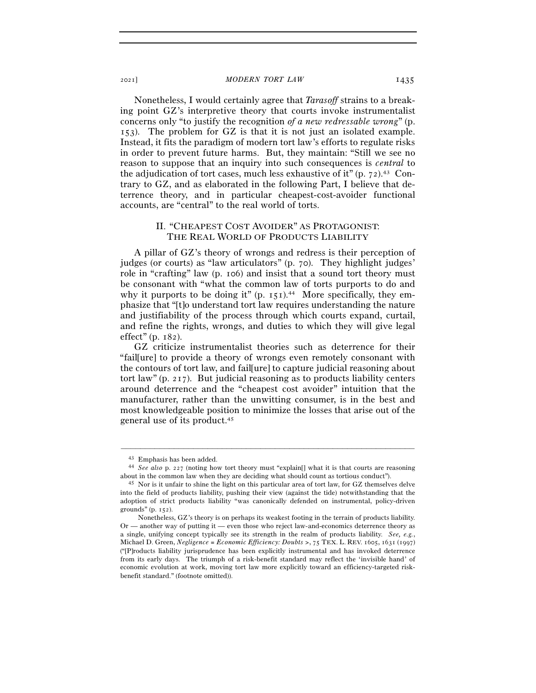Nonetheless, I would certainly agree that *Tarasoff* strains to a breaking point GZ's interpretive theory that courts invoke instrumentalist concerns only "to justify the recognition *of a new redressable wrong*" (p. 153). The problem for GZ is that it is not just an isolated example. Instead, it fits the paradigm of modern tort law's efforts to regulate risks in order to prevent future harms. But, they maintain: "Still we see no reason to suppose that an inquiry into such consequences is *central* to the adjudication of tort cases, much less exhaustive of it"  $(p. 72)$ .<sup>43</sup> Contrary to GZ, and as elaborated in the following Part, I believe that deterrence theory, and in particular cheapest-cost-avoider functional accounts, are "central" to the real world of torts.

# II. "CHEAPEST COST AVOIDER" AS PROTAGONIST: THE REAL WORLD OF PRODUCTS LIABILITY

A pillar of GZ's theory of wrongs and redress is their perception of judges (or courts) as "law articulators" (p. 70). They highlight judges' role in "crafting" law (p. 106) and insist that a sound tort theory must be consonant with "what the common law of torts purports to do and why it purports to be doing it"  $(p, 151)$ .<sup>44</sup> More specifically, they emphasize that "[t]o understand tort law requires understanding the nature and justifiability of the process through which courts expand, curtail, and refine the rights, wrongs, and duties to which they will give legal effect" (p. 182).

GZ criticize instrumentalist theories such as deterrence for their "fail[ure] to provide a theory of wrongs even remotely consonant with the contours of tort law, and fail[ure] to capture judicial reasoning about tort law" (p. 217). But judicial reasoning as to products liability centers around deterrence and the "cheapest cost avoider" intuition that the manufacturer, rather than the unwitting consumer, is in the best and most knowledgeable position to minimize the losses that arise out of the general use of its product.45

<sup>43</sup> Emphasis has been added. 44 *See also* p. 227 (noting how tort theory must "explain[] what it is that courts are reasoning about in the common law when they are deciding what should count as tortious conduct").<br><sup>45</sup> Nor is it unfair to shine the light on this particular area of tort law, for GZ themselves delve

into the field of products liability, pushing their view (against the tide) notwithstanding that the adoption of strict products liability "was canonically defended on instrumental, policy-driven grounds" (p. 152).

Nonetheless, GZ's theory is on perhaps its weakest footing in the terrain of products liability. Or — another way of putting it — even those who reject law-and-economics deterrence theory as a single, unifying concept typically see its strength in the realm of products liability. *See, e.g.*, Michael D. Green, *Negligence = Economic Efficiency: Doubts >*, 75 TEX. L. REV. 1605, 1631 (1997) ("[P]roducts liability jurisprudence has been explicitly instrumental and has invoked deterrence from its early days. The triumph of a risk-benefit standard may reflect the 'invisible hand' of economic evolution at work, moving tort law more explicitly toward an efficiency-targeted riskbenefit standard." (footnote omitted)).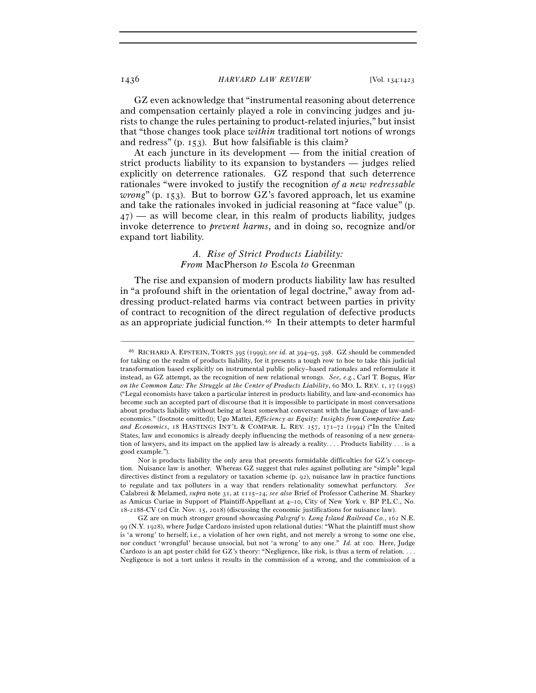GZ even acknowledge that "instrumental reasoning about deterrence and compensation certainly played a role in convincing judges and jurists to change the rules pertaining to product-related injuries," but insist that "those changes took place *within* traditional tort notions of wrongs and redress" (p. 153). But how falsifiable is this claim?

At each juncture in its development — from the initial creation of strict products liability to its expansion to bystanders — judges relied explicitly on deterrence rationales. GZ respond that such deterrence rationales "were invoked to justify the recognition *of a new redressable wrong*" (p. 153). But to borrow GZ's favored approach, let us examine and take the rationales invoked in judicial reasoning at "face value" (p.  $47$  — as will become clear, in this realm of products liability, judges invoke deterrence to *prevent harms*, and in doing so, recognize and/or expand tort liability.

# *A. Rise of Strict Products Liability: From* MacPherson *to* Escola *to* Greenman

The rise and expansion of modern products liability law has resulted in "a profound shift in the orientation of legal doctrine," away from addressing product-related harms via contract between parties in privity of contract to recognition of the direct regulation of defective products as an appropriate judicial function.46 In their attempts to deter harmful

<sup>46</sup> RICHARD A. EPSTEIN, TORTS 395 (1999); *see id.* at 394–95, 398. GZ should be commended for taking on the realm of products liability, for it presents a tough row to hoe to take this judicial transformation based explicitly on instrumental public policy–based rationales and reformulate it instead, as GZ attempt, as the recognition of new relational wrongs. *See, e.g.*, Carl T. Bogus, *War on the Common Law: The Struggle at the Center of Products Liability*, 60 MO. L. REV. 1, 17 (1995) ("Legal economists have taken a particular interest in products liability, and law-and-economics has become such an accepted part of discourse that it is impossible to participate in most conversations about products liability without being at least somewhat conversant with the language of law-andeconomics." (footnote omitted)); Ugo Mattei, *Efficiency as Equity: Insights from Comparative Law and Economics*, 18 HASTINGS INT'L & COMPAR. L. REV. 157, 171–72 (1994) ("In the United States, law and economics is already deeply influencing the methods of reasoning of a new generation of lawyers, and its impact on the applied law is already a reality. . . . Products liability . . . is a good example.").

Nor is products liability the only area that presents formidable difficulties for GZ's conception. Nuisance law is another. Whereas GZ suggest that rules against polluting are "simple" legal directives distinct from a regulatory or taxation scheme (p. 92), nuisance law in practice functions to regulate and tax polluters in a way that renders relationality somewhat perfunctory. *See* Calabresi & Melamed, *supra* note 31, at 1115–24; *see also* Brief of Professor Catherine M. Sharkey as Amicus Curiae in Support of Plaintiff-Appellant at 4–10, City of New York v. BP P.L.C., No. 18-2188-CV (2d Cir. Nov. 15, 2018) (discussing the economic justifications for nuisance law).

GZ are on much stronger ground showcasing *Palsgraf v. Long Island Railroad Co.*, 162 N.E. 99 (N.Y. 1928), where Judge Cardozo insisted upon relational duties: "What the plaintiff must show is 'a wrong' to herself; i.e., a violation of her own right, and not merely a wrong to some one else, nor conduct 'wrongful' because unsocial, but not 'a wrong' to any one." *Id.* at 100. Here, Judge Cardozo is an apt poster child for GZ's theory: "Negligence, like risk, is thus a term of relation. . . . Negligence is not a tort unless it results in the commission of a wrong, and the commission of a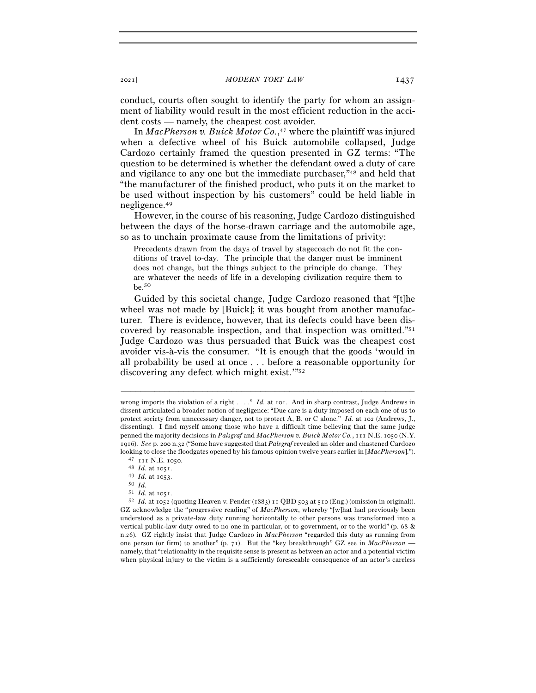conduct, courts often sought to identify the party for whom an assignment of liability would result in the most efficient reduction in the accident costs — namely, the cheapest cost avoider.

In *MacPherson v. Buick Motor Co.*, 47 where the plaintiff was injured when a defective wheel of his Buick automobile collapsed, Judge Cardozo certainly framed the question presented in GZ terms: "The question to be determined is whether the defendant owed a duty of care and vigilance to any one but the immediate purchaser,"48 and held that "the manufacturer of the finished product, who puts it on the market to be used without inspection by his customers" could be held liable in negligence.49

However, in the course of his reasoning, Judge Cardozo distinguished between the days of the horse-drawn carriage and the automobile age, so as to unchain proximate cause from the limitations of privity:

Precedents drawn from the days of travel by stagecoach do not fit the conditions of travel to-day. The principle that the danger must be imminent does not change, but the things subject to the principle do change. They are whatever the needs of life in a developing civilization require them to be.50

Guided by this societal change, Judge Cardozo reasoned that "[t]he wheel was not made by [Buick]; it was bought from another manufacturer. There is evidence, however, that its defects could have been discovered by reasonable inspection, and that inspection was omitted."51 Judge Cardozo was thus persuaded that Buick was the cheapest cost avoider vis-à-vis the consumer. "It is enough that the goods 'would in all probability be used at once . . . before a reasonable opportunity for discovering any defect which might exist.'"52

wrong imports the violation of a right . . . ." *Id.* at 101. And in sharp contrast, Judge Andrews in dissent articulated a broader notion of negligence: "Due care is a duty imposed on each one of us to protect society from unnecessary danger, not to protect A, B, or C alone." *Id.* at 102 (Andrews, J., dissenting). I find myself among those who have a difficult time believing that the same judge penned the majority decisions in *Palsgraf* and *MacPherson v. Buick Motor Co.*, 111 N.E. 1050 (N.Y. 1916). *See* p. 200 n.32 ("Some have suggested that *Palsgraf* revealed an older and chastened Cardozo looking to close the floodgates opened by his famous opinion twelve years earlier in [*MacPherson*].").<br>
<sup>47</sup> <sup>111</sup> N.E. 1050.<br>
<sup>48</sup> *Id.* at 1051.<br>
<sup>49</sup> *Id.* at 1051.<br>
<sup>51</sup> *Id.* at 1051.

<sup>51</sup> *Id.* at <sup>1051</sup>. 52 *Id.* at 1052 (quoting Heaven v. Pender (1883) 11 QBD 503 at 510 (Eng.) (omission in original)). GZ acknowledge the "progressive reading" of *MacPherson*, whereby "[w]hat had previously been understood as a private-law duty running horizontally to other persons was transformed into a vertical public-law duty owed to no one in particular, or to government, or to the world" (p. 68 & n.26). GZ rightly insist that Judge Cardozo in *MacPherson* "regarded this duty as running from one person (or firm) to another" (p. 71). But the "key breakthrough" GZ see in *MacPherson* namely, that "relationality in the requisite sense is present as between an actor and a potential victim when physical injury to the victim is a sufficiently foreseeable consequence of an actor's careless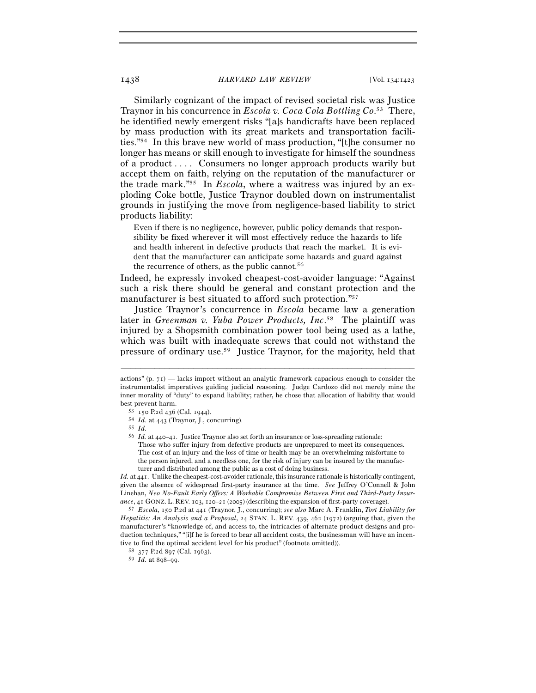Similarly cognizant of the impact of revised societal risk was Justice Traynor in his concurrence in *Escola v. Coca Cola Bottling Co*. 53 There, he identified newly emergent risks "[a]s handicrafts have been replaced by mass production with its great markets and transportation facilities."54 In this brave new world of mass production, "[t]he consumer no longer has means or skill enough to investigate for himself the soundness of a product . . . . Consumers no longer approach products warily but accept them on faith, relying on the reputation of the manufacturer or the trade mark."55 In *Escola*, where a waitress was injured by an exploding Coke bottle, Justice Traynor doubled down on instrumentalist grounds in justifying the move from negligence-based liability to strict products liability:

Even if there is no negligence, however, public policy demands that responsibility be fixed wherever it will most effectively reduce the hazards to life and health inherent in defective products that reach the market. It is evident that the manufacturer can anticipate some hazards and guard against the recurrence of others, as the public cannot.<sup>56</sup>

Indeed, he expressly invoked cheapest-cost-avoider language: "Against such a risk there should be general and constant protection and the manufacturer is best situated to afford such protection."57

Justice Traynor's concurrence in *Escola* became law a generation later in *Greenman v. Yuba Power Products, Inc*. 58 The plaintiff was injured by a Shopsmith combination power tool being used as a lathe, which was built with inadequate screws that could not withstand the pressure of ordinary use.59 Justice Traynor, for the majority, held that

–––––––––––––––––––––––––––––––––––––––––––––––––––––––––––––

*Id.* at 441. Unlike the cheapest-cost-avoider rationale, this insurance rationale is historically contingent, given the absence of widespread first-party insurance at the time. *See* Jeffrey O'Connell & John Linehan, *Neo No-Fault Early Offers: A Workable Compromise Between First and Third-Party Insurance*, 41 GONZ. L. REV. 103, 120–21 (<sup>2005</sup>) (describing the expansion of first-party coverage). 57 *Escola*, 150 P.2d at 441 (Traynor, J., concurring); *see also* Marc A. Franklin, *Tort Liability for* 

*Hepatitis: An Analysis and a Proposal*, 24 STAN. L. REV. 439, 462 (1972) (arguing that, given the manufacturer's "knowledge of, and access to, the intricacies of alternate product designs and production techniques," "[i]f he is forced to bear all accident costs, the businessman will have an incentive to find the optimal accident level for his product" (footnote omitted)).  $58\quad377$  P.2d 897 (Cal. 1963).

<sup>59</sup> *Id.* at 898–99.

actions" (p.  $71$ ) — lacks import without an analytic framework capacious enough to consider the instrumentalist imperatives guiding judicial reasoning. Judge Cardozo did not merely mine the inner morality of "duty" to expand liability; rather, he chose that allocation of liability that would best prevent harm.<br><sup>53</sup> 150 P.2d 436 (Cal. 1944).<br><sup>54</sup> *Id.* at 443 (Traynor, J., concurring).<br><sup>55</sup> *Id.*<br><sup>56</sup> *Id.* at 440–41. Justice Traynor also set forth an insurance or loss-spreading rationale:

Those who suffer injury from defective products are unprepared to meet its consequences. The cost of an injury and the loss of time or health may be an overwhelming misfortune to the person injured, and a needless one, for the risk of injury can be insured by the manufacturer and distributed among the public as a cost of doing business.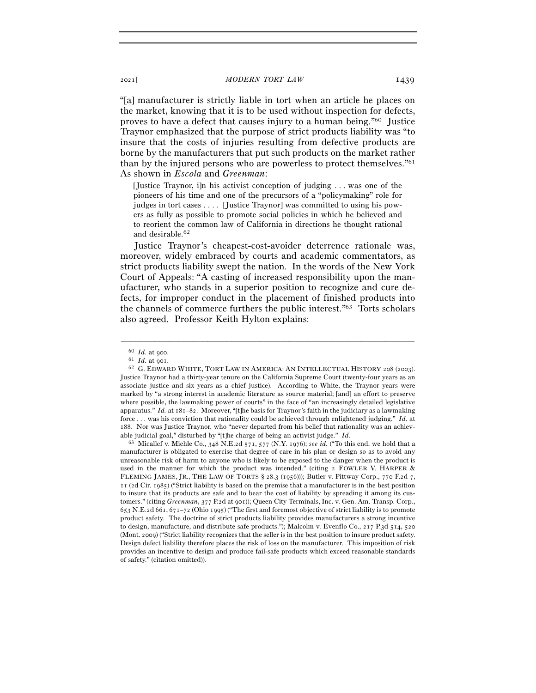"[a] manufacturer is strictly liable in tort when an article he places on the market, knowing that it is to be used without inspection for defects, proves to have a defect that causes injury to a human being."60 Justice Traynor emphasized that the purpose of strict products liability was "to insure that the costs of injuries resulting from defective products are borne by the manufacturers that put such products on the market rather than by the injured persons who are powerless to protect themselves."61 As shown in *Escola* and *Greenman*:

[Justice Traynor, i]n his activist conception of judging . . . was one of the pioneers of his time and one of the precursors of a "policymaking" role for judges in tort cases . . . . [Justice Traynor] was committed to using his powers as fully as possible to promote social policies in which he believed and to reorient the common law of California in directions he thought rational and desirable.62

Justice Traynor's cheapest-cost-avoider deterrence rationale was, moreover, widely embraced by courts and academic commentators, as strict products liability swept the nation. In the words of the New York Court of Appeals: "A casting of increased responsibility upon the manufacturer, who stands in a superior position to recognize and cure defects, for improper conduct in the placement of finished products into the channels of commerce furthers the public interest."63 Torts scholars also agreed. Professor Keith Hylton explains:

–––––––––––––––––––––––––––––––––––––––––––––––––––––––––––––

manufacturer is obligated to exercise that degree of care in his plan or design so as to avoid any unreasonable risk of harm to anyone who is likely to be exposed to the danger when the product is used in the manner for which the product was intended." (citing 2 FOWLER V. HARPER & FLEMING JAMES, JR., THE LAW OF TORTS § 28.3 (1956))); Butler v. Pittway Corp., 770 F.2d 7, 11 (2d Cir. 1985) ("Strict liability is based on the premise that a manufacturer is in the best position to insure that its products are safe and to bear the cost of liability by spreading it among its customers." (citing *Greenman*, 377 P.2d at 901)); Queen City Terminals, Inc. v. Gen. Am. Transp. Corp., 653 N.E.2d 661, 671–72 (Ohio 1995) ("The first and foremost objective of strict liability is to promote product safety. The doctrine of strict products liability provides manufacturers a strong incentive to design, manufacture, and distribute safe products."); Malcolm v. Evenflo Co., 217 P.3d 514, 520 (Mont. 2009) ("Strict liability recognizes that the seller is in the best position to insure product safety. Design defect liability therefore places the risk of loss on the manufacturer. This imposition of risk provides an incentive to design and produce fail-safe products which exceed reasonable standards of safety." (citation omitted)).

<sup>60</sup> *Id.* at <sup>900</sup>. 61 *Id.* at <sup>901</sup>. 62 G. EDWARD WHITE, TORT LAW IN AMERICA: AN INTELLECTUAL HISTORY <sup>208</sup> (2003). Justice Traynor had a thirty-year tenure on the California Supreme Court (twenty-four years as an associate justice and six years as a chief justice). According to White, the Traynor years were marked by "a strong interest in academic literature as source material; [and] an effort to preserve where possible, the lawmaking power of courts" in the face of "an increasingly detailed legislative apparatus." *Id.* at 181–82. Moreover, "[t]he basis for Traynor's faith in the judiciary as a lawmaking force . . . was his conviction that rationality could be achieved through enlightened judging." *Id.* at 188. Nor was Justice Traynor, who "never departed from his belief that rationality was an achievable judicial goal," disturbed by "[t]he charge of being an activist judge." *Id.* 63 Micallef v. Miehle Co., 348 N.E.2d 571, 577 (N.Y. 1976); *see id.* ("To this end, we hold that a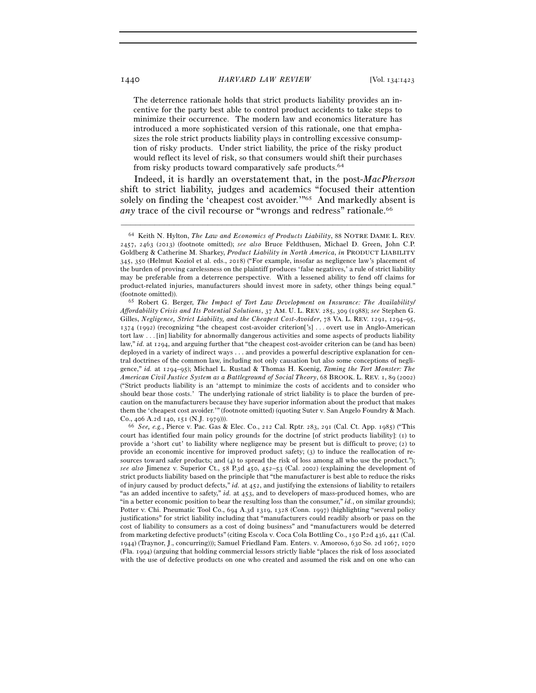The deterrence rationale holds that strict products liability provides an incentive for the party best able to control product accidents to take steps to minimize their occurrence. The modern law and economics literature has introduced a more sophisticated version of this rationale, one that emphasizes the role strict products liability plays in controlling excessive consumption of risky products. Under strict liability, the price of the risky product would reflect its level of risk, so that consumers would shift their purchases from risky products toward comparatively safe products.64

Indeed, it is hardly an overstatement that, in the post-*MacPherson* shift to strict liability, judges and academics "focused their attention solely on finding the 'cheapest cost avoider.'"65 And markedly absent is *any* trace of the civil recourse or "wrongs and redress" rationale.<sup>66</sup>

–––––––––––––––––––––––––––––––––––––––––––––––––––––––––––––

court has identified four main policy grounds for the doctrine [of strict products liability]: (1) to provide a 'short cut' to liability where negligence may be present but is difficult to prove; (2) to provide an economic incentive for improved product safety; (3) to induce the reallocation of resources toward safer products; and (4) to spread the risk of loss among all who use the product."); *see also* Jimenez v. Superior Ct., 58 P.3d 450, 452–53 (Cal. 2002) (explaining the development of strict products liability based on the principle that "the manufacturer is best able to reduce the risks of injury caused by product defects," *id.* at 452, and justifying the extensions of liability to retailers "as an added incentive to safety," *id.* at 453, and to developers of mass-produced homes, who are "in a better economic position to bear the resulting loss than the consumer," *id.*, on similar grounds); Potter v. Chi. Pneumatic Tool Co., 694 A.3d 1319, 1328 (Conn. 1997) (highlighting "several policy justifications" for strict liability including that "manufacturers could readily absorb or pass on the cost of liability to consumers as a cost of doing business" and "manufacturers would be deterred from marketing defective products" (citing Escola v. Coca Cola Bottling Co., 150 P.2d 436, 441 (Cal. 1944) (Traynor, J., concurring))); Samuel Friedland Fam. Enters. v. Amoroso, 630 So. 2d 1067, 1070 (Fla. 1994) (arguing that holding commercial lessors strictly liable "places the risk of loss associated with the use of defective products on one who created and assumed the risk and on one who can

<sup>64</sup> Keith N. Hylton, *The Law and Economics of Products Liability*, 88 NOTRE DAME L. REV. 2457, 2463 (2013) (footnote omitted); *see also* Bruce Feldthusen, Michael D. Green, John C.P. Goldberg & Catherine M. Sharkey, *Product Liability in North America*, *in* PRODUCT LIABILITY 345, 350 (Helmut Koziol et al. eds., 2018) ("For example, insofar as negligence law's placement of the burden of proving carelessness on the plaintiff produces 'false negatives,' a rule of strict liability may be preferable from a deterrence perspective. With a lessened ability to fend off claims for product-related injuries, manufacturers should invest more in safety, other things being equal." (footnote omitted)). 65 Robert G. Berger, *The Impact of Tort Law Development on Insurance: The Availability/* 

*Affordability Crisis and Its Potential Solutions*, 37 AM. U. L. REV. 285, 309 (1988); *see* Stephen G. Gilles, *Negligence, Strict Liability, and the Cheapest Cost-Avoider*, 78 VA. L. REV. 1291, 1294–95, 1374 (1992) (recognizing "the cheapest cost-avoider criterion['s] . . . overt use in Anglo-American tort law . . . [in] liability for abnormally dangerous activities and some aspects of products liability law," *id.* at 1294, and arguing further that "the cheapest cost-avoider criterion can be (and has been) deployed in a variety of indirect ways . . . and provides a powerful descriptive explanation for central doctrines of the common law, including not only causation but also some conceptions of negligence," *id.* at 1294–95); Michael L. Rustad & Thomas H. Koenig, *Taming the Tort Monster: The American Civil Justice System as a Battleground of Social Theory*, 68 BROOK. L. REV. 1, 89 (2002) ("Strict products liability is an 'attempt to minimize the costs of accidents and to consider who should bear those costs.' The underlying rationale of strict liability is to place the burden of precaution on the manufacturers because they have superior information about the product that makes them the 'cheapest cost avoider.'" (footnote omitted) (quoting Suter v. San Angelo Foundry & Mach. Co., 406 A.2d 140, 151 (N.J. <sup>1979</sup>))). 66 *See, e.g.*, Pierce v. Pac. Gas & Elec. Co., 212 Cal. Rptr. 283, 291 (Cal. Ct. App. 1985) ("This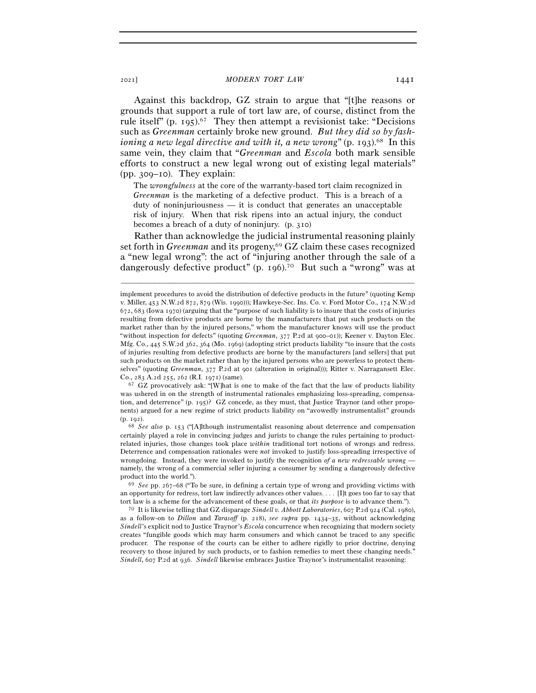Against this backdrop, GZ strain to argue that "[t]he reasons or grounds that support a rule of tort law are, of course, distinct from the rule itself" (p. 195).67 They then attempt a revisionist take: "Decisions such as *Greenman* certainly broke new ground. *But they did so by fashioning a new legal directive and with it, a new wrong*" (p. 193).<sup>68</sup> In this same vein, they claim that "*Greenman* and *Escola* both mark sensible efforts to construct a new legal wrong out of existing legal materials" (pp. 309–10). They explain:

The *wrongfulness* at the core of the warranty-based tort claim recognized in *Greenman* is the marketing of a defective product. This is a breach of a duty of noninjuriousness — it is conduct that generates an unacceptable risk of injury. When that risk ripens into an actual injury, the conduct becomes a breach of a duty of noninjury. (p. 310)

Rather than acknowledge the judicial instrumental reasoning plainly set forth in *Greenman* and its progeny,69 GZ claim these cases recognized a "new legal wrong": the act of "injuring another through the sale of a dangerously defective product" (p. 196).70 But such a "wrong" was at

–––––––––––––––––––––––––––––––––––––––––––––––––––––––––––––

was ushered in on the strength of instrumental rationales emphasizing loss-spreading, compensation, and deterrence" (p. 195)? GZ concede, as they must, that Justice Traynor (and other proponents) argued for a new regime of strict products liability on "avowedly instrumentalist" grounds (p. <sup>192</sup>). 68 *See also* p. 153 ("[A]lthough instrumentalist reasoning about deterrence and compensation

certainly played a role in convincing judges and jurists to change the rules pertaining to productrelated injuries, those changes took place *within* traditional tort notions of wrongs and redress. Deterrence and compensation rationales were *not* invoked to justify loss-spreading irrespective of wrongdoing. Instead, they were invoked to justify the recognition of a new redressable wrong namely, the wrong of a commercial seller injuring a consumer by sending a dangerously defective product into the world.").<br><sup>69</sup> *See* pp. 267–68 ("To be sure, in defining a certain type of wrong and providing victims with

an opportunity for redress, tort law indirectly advances other values. . . . [I]t goes too far to say that tort law is a scheme for the advancement of these goals, or that *its purpose* is to advance them.").

<sup>70</sup> It is likewise telling that GZ disparage *Sindell v. Abbott Laboratories*, 607 P.2d 924 (Cal. 1980), as a follow-on to *Dillon* and *Tarasoff* (p. 218), *see supra* pp. 1434–35, without acknowledging *Sindell*'s explicit nod to Justice Traynor's *Escola* concurrence when recognizing that modern society creates "fungible goods which may harm consumers and which cannot be traced to any specific producer. The response of the courts can be either to adhere rigidly to prior doctrine, denying recovery to those injured by such products, or to fashion remedies to meet these changing needs." *Sindell*, 607 P.2d at 936. *Sindell* likewise embraces Justice Traynor's instrumentalist reasoning:

implement procedures to avoid the distribution of defective products in the future" (quoting Kemp v. Miller, 453 N.W.2d 872, 879 (Wis. 1990))); Hawkeye-Sec. Ins. Co. v. Ford Motor Co., 174 N.W.2d 672, 683 (Iowa 1970) (arguing that the "purpose of such liability is to insure that the costs of injuries resulting from defective products are borne by the manufacturers that put such products on the market rather than by the injured persons," whom the manufacturer knows will use the product "without inspection for defects" (quoting *Greenman*, 377 P.2d at 900–01)); Keener v. Dayton Elec. Mfg. Co., 445 S.W.2d 362, 364 (Mo. 1969) (adopting strict products liability "to insure that the costs of injuries resulting from defective products are borne by the manufacturers [and sellers] that put such products on the market rather than by the injured persons who are powerless to protect themselves" (quoting *Greenman*, 377 P.2d at 901 (alteration in original))); Ritter v. Narragansett Elec. Co., 283 A.2d 255, 262 (R.I. <sup>1971</sup>) (same). 67 GZ provocatively ask: "[W]hat is one to make of the fact that the law of products liability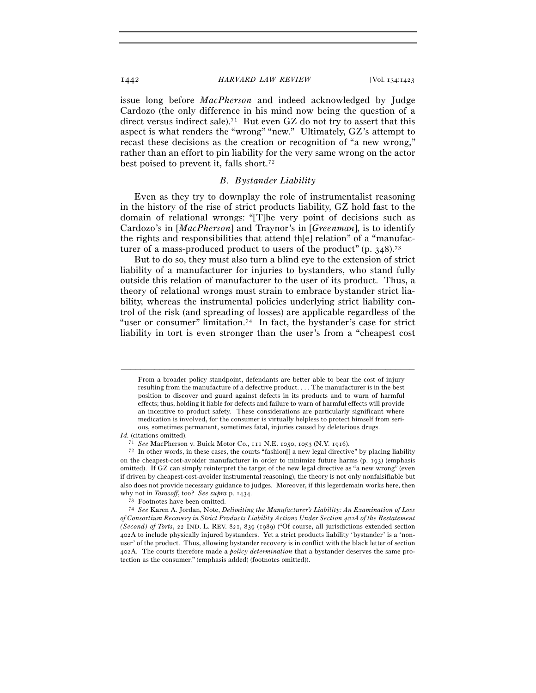issue long before *MacPherson* and indeed acknowledged by Judge Cardozo (the only difference in his mind now being the question of a direct versus indirect sale).<sup>71</sup> But even GZ do not try to assert that this aspect is what renders the "wrong" "new." Ultimately, GZ's attempt to recast these decisions as the creation or recognition of "a new wrong," rather than an effort to pin liability for the very same wrong on the actor best poised to prevent it, falls short.72

### *B. Bystander Liability*

Even as they try to downplay the role of instrumentalist reasoning in the history of the rise of strict products liability, GZ hold fast to the domain of relational wrongs: "[T]he very point of decisions such as Cardozo's in [*MacPherson*] and Traynor's in [*Greenman*], is to identify the rights and responsibilities that attend th[e] relation" of a "manufacturer of a mass-produced product to users of the product"  $(p. 348)^{73}$ 

But to do so, they must also turn a blind eye to the extension of strict liability of a manufacturer for injuries to bystanders, who stand fully outside this relation of manufacturer to the user of its product. Thus, a theory of relational wrongs must strain to embrace bystander strict liability, whereas the instrumental policies underlying strict liability control of the risk (and spreading of losses) are applicable regardless of the "user or consumer" limitation.<sup>74</sup> In fact, the bystander's case for strict liability in tort is even stronger than the user's from a "cheapest cost

–––––––––––––––––––––––––––––––––––––––––––––––––––––––––––––

*Id.* (citations omitted).

From a broader policy standpoint, defendants are better able to bear the cost of injury resulting from the manufacture of a defective product. . . . The manufacturer is in the best position to discover and guard against defects in its products and to warn of harmful effects; thus, holding it liable for defects and failure to warn of harmful effects will provide an incentive to product safety. These considerations are particularly significant where medication is involved, for the consumer is virtually helpless to protect himself from serious, sometimes permanent, sometimes fatal, injuries caused by deleterious drugs.

<sup>71</sup> *See* MacPherson v. Buick Motor Co., 111 N.E. 1050, 1053 (N.Y. <sup>1916</sup>). 72 In other words, in these cases, the courts "fashion[] a new legal directive" by placing liability on the cheapest-cost-avoider manufacturer in order to minimize future harms (p. 193) (emphasis omitted). If GZ can simply reinterpret the target of the new legal directive as "a new wrong" (even if driven by cheapest-cost-avoider instrumental reasoning), the theory is not only nonfalsifiable but also does not provide necessary guidance to judges. Moreover, if this legerdemain works here, then why not in *Tarasoff*, too? *See supra* p. <sup>1434</sup>. 73 Footnotes have been omitted.

<sup>74</sup> *See* Karen A. Jordan, Note, *Delimiting the Manufacturer's Liability: An Examination of Loss of Consortium Recovery in Strict Products Liability Actions Under Section* 402*A of the Restatement (Second) of Torts*, 22 IND. L. REV. 821, 839 (1989) ("Of course, all jurisdictions extended section 402A to include physically injured bystanders. Yet a strict products liability 'bystander' is a 'nonuser' of the product. Thus, allowing bystander recovery is in conflict with the black letter of section 402A. The courts therefore made a *policy determination* that a bystander deserves the same protection as the consumer." (emphasis added) (footnotes omitted)).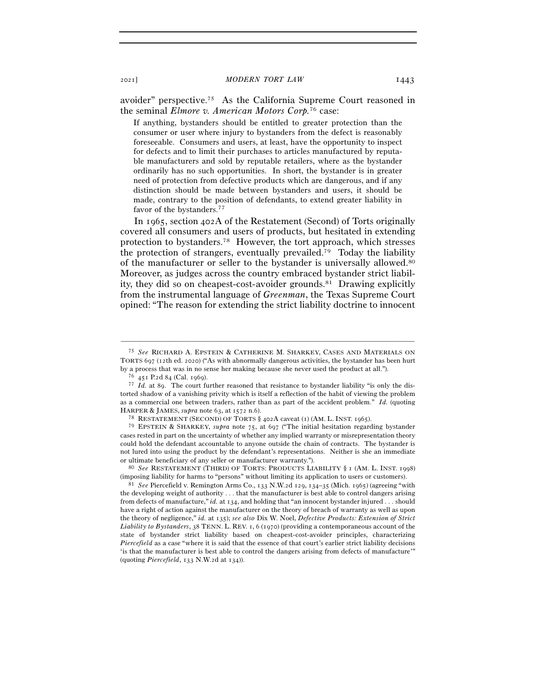avoider" perspective.75 As the California Supreme Court reasoned in the seminal *Elmore v. American Motors Corp.*76 case:

If anything, bystanders should be entitled to greater protection than the consumer or user where injury to bystanders from the defect is reasonably foreseeable. Consumers and users, at least, have the opportunity to inspect for defects and to limit their purchases to articles manufactured by reputable manufacturers and sold by reputable retailers, where as the bystander ordinarily has no such opportunities. In short, the bystander is in greater need of protection from defective products which are dangerous, and if any distinction should be made between bystanders and users, it should be made, contrary to the position of defendants, to extend greater liability in favor of the bystanders.<sup>77</sup>

In 1965, section 402A of the Restatement (Second) of Torts originally covered all consumers and users of products, but hesitated in extending protection to bystanders.78 However, the tort approach, which stresses the protection of strangers, eventually prevailed.79 Today the liability of the manufacturer or seller to the bystander is universally allowed.80 Moreover, as judges across the country embraced bystander strict liability, they did so on cheapest-cost-avoider grounds.81 Drawing explicitly from the instrumental language of *Greenman*, the Texas Supreme Court opined: "The reason for extending the strict liability doctrine to innocent

–––––––––––––––––––––––––––––––––––––––––––––––––––––––––––––

(imposing liability for harms to "persons" without limiting its application to users or customers). 81 *See* Piercefield v. Remington Arms Co., 133 N.W.2d 129, 134–35 (Mich. 1965) (agreeing "with

<sup>75</sup> *See* RICHARD A. EPSTEIN & CATHERINE M. SHARKEY, CASES AND MATERIALS ON TORTS 697 (12th ed. 2020) ("As with abnormally dangerous activities, the bystander has been hurt by a process that was in no sense her making because she never used the product at all."). <sup>76</sup>  $451$  P.2d 84 (Cal. 1969). <sup>77</sup> *Id.* at 89. The court further reasoned that resistance to bystander liability "is only the d

torted shadow of a vanishing privity which is itself a reflection of the habit of viewing the problem as a commercial one between traders, rather than as part of the accident problem." *Id.* (quoting HARPER & JAMES, *supra* note 63, at 1572 n.6).<br><sup>78</sup> RESTATEMENT (SECOND) OF TORTS § 402A caveat (1) (AM. L. INST. 1965).

<sup>79</sup> EPSTEIN & SHARKEY, *supra* note 75, at 697 ("The initial hesitation regarding bystander cases rested in part on the uncertainty of whether any implied warranty or misrepresentation theory could hold the defendant accountable to anyone outside the chain of contracts. The bystander is not lured into using the product by the defendant's representations. Neither is she an immediate or ultimate beneficiary of any seller or manufacturer warranty."). 80 *See* RESTATEMENT (THIRD) OF TORTS: PRODUCTS LIABILITY § <sup>1</sup>(AM. L. INST. <sup>1998</sup>)

the developing weight of authority . . . that the manufacturer is best able to control dangers arising from defects of manufacture," *id.* at 134, and holding that "an innocent bystander injured . . . should have a right of action against the manufacturer on the theory of breach of warranty as well as upon the theory of negligence," *id.* at 135); *see also* Dix W. Noel, *Defective Products: Extension of Strict Liability to Bystanders*, 38 TENN. L. REV. 1, 6 (1970) (providing a contemporaneous account of the state of bystander strict liability based on cheapest-cost-avoider principles, characterizing *Piercefield* as a case "where it is said that the essence of that court's earlier strict liability decisions 'is that the manufacturer is best able to control the dangers arising from defects of manufacture'" (quoting *Piercefield*, 133 N.W.2d at 134)).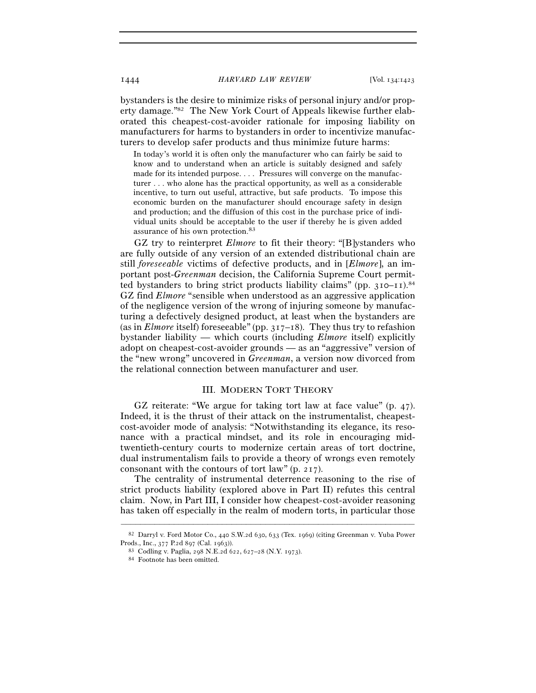bystanders is the desire to minimize risks of personal injury and/or property damage."82 The New York Court of Appeals likewise further elaborated this cheapest-cost-avoider rationale for imposing liability on manufacturers for harms to bystanders in order to incentivize manufacturers to develop safer products and thus minimize future harms:

In today's world it is often only the manufacturer who can fairly be said to know and to understand when an article is suitably designed and safely made for its intended purpose. . . . Pressures will converge on the manufacturer . . . who alone has the practical opportunity, as well as a considerable incentive, to turn out useful, attractive, but safe products. To impose this economic burden on the manufacturer should encourage safety in design and production; and the diffusion of this cost in the purchase price of individual units should be acceptable to the user if thereby he is given added assurance of his own protection.83

GZ try to reinterpret *Elmore* to fit their theory: "[B]ystanders who are fully outside of any version of an extended distributional chain are still *foreseeable* victims of defective products, and in [*Elmore*], an important post-*Greenman* decision, the California Supreme Court permitted bystanders to bring strict products liability claims" (pp.  $310-11$ ).<sup>84</sup> GZ find *Elmore* "sensible when understood as an aggressive application of the negligence version of the wrong of injuring someone by manufacturing a defectively designed product, at least when the bystanders are (as in *Elmore* itself) foreseeable" (pp. 317–18). They thus try to refashion bystander liability — which courts (including *Elmore* itself) explicitly adopt on cheapest-cost-avoider grounds — as an "aggressive" version of the "new wrong" uncovered in *Greenman*, a version now divorced from the relational connection between manufacturer and user.

#### III. MODERN TORT THEORY

GZ reiterate: "We argue for taking tort law at face value" (p. 47). Indeed, it is the thrust of their attack on the instrumentalist, cheapestcost-avoider mode of analysis: "Notwithstanding its elegance, its resonance with a practical mindset, and its role in encouraging midtwentieth-century courts to modernize certain areas of tort doctrine, dual instrumentalism fails to provide a theory of wrongs even remotely consonant with the contours of tort law" (p. 217).

The centrality of instrumental deterrence reasoning to the rise of strict products liability (explored above in Part II) refutes this central claim. Now, in Part III, I consider how cheapest-cost-avoider reasoning has taken off especially in the realm of modern torts, in particular those

<sup>–––––––––––––––––––––––––––––––––––––––––––––––––––––––––––––</sup> <sup>82</sup> Darryl v. Ford Motor Co., 440 S.W.2d 630, 633 (Tex. 1969) (citing Greenman v. Yuba Power Prods., Inc., 377 P.2d 897 (Cal. <sup>1963</sup>)). 83 Codling v. Paglia, 298 N.E.2d 622, 627–28 (N.Y. <sup>1973</sup>). 84 Footnote has been omitted.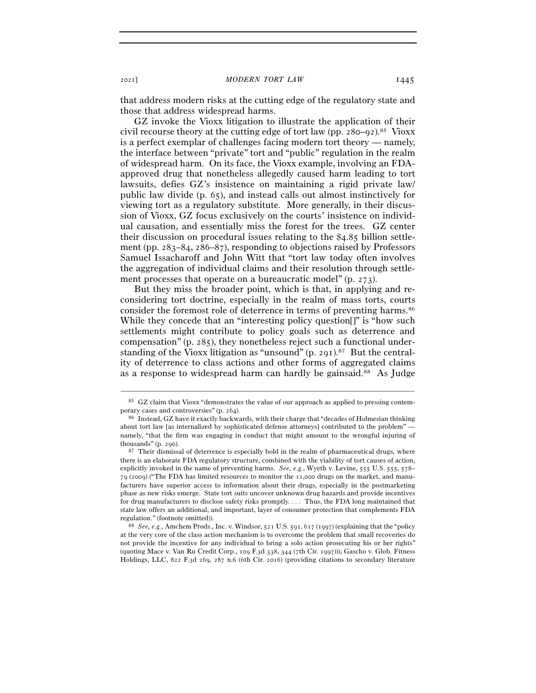that address modern risks at the cutting edge of the regulatory state and those that address widespread harms.

GZ invoke the Vioxx litigation to illustrate the application of their civil recourse theory at the cutting edge of tort law (pp.  $280-92$ ).<sup>85</sup> Vioxx is a perfect exemplar of challenges facing modern tort theory — namely, the interface between "private" tort and "public" regulation in the realm of widespread harm. On its face, the Vioxx example, involving an FDAapproved drug that nonetheless allegedly caused harm leading to tort lawsuits, defies GZ's insistence on maintaining a rigid private law/ public law divide (p. 65), and instead calls out almost instinctively for viewing tort as a regulatory substitute. More generally, in their discussion of Vioxx, GZ focus exclusively on the courts' insistence on individual causation, and essentially miss the forest for the trees. GZ center their discussion on procedural issues relating to the \$4.85 billion settlement (pp. 283–84, 286–87), responding to objections raised by Professors Samuel Issacharoff and John Witt that "tort law today often involves the aggregation of individual claims and their resolution through settlement processes that operate on a bureaucratic model" (p. 273).

But they miss the broader point, which is that, in applying and reconsidering tort doctrine, especially in the realm of mass torts, courts consider the foremost role of deterrence in terms of preventing harms.86 While they concede that an "interesting policy question[]" is "how such settlements might contribute to policy goals such as deterrence and compensation" (p. 285), they nonetheless reject such a functional understanding of the Vioxx litigation as "unsound" (p. 291).87 But the centrality of deterrence to class actions and other forms of aggregated claims as a response to widespread harm can hardly be gainsaid.<sup>88</sup> As Judge

<sup>–––––––––––––––––––––––––––––––––––––––––––––––––––––––––––––</sup> 85 GZ claim that Vioxx "demonstrates the value of our approach as applied to pressing contemporary cases and controversies" (p. 264).<br><sup>86</sup> Instead, GZ have it exactly backwards, with their charge that "decades of Holmesian thinking"

about tort law [as internalized by sophisticated defense attorneys] contributed to the problem" namely, "that the firm was engaging in conduct that might amount to the wrongful injuring of thousands" (p. 290). 87 Their dismissal of deterrence is especially bold in the realm of pharmaceutical drugs, where

there is an elaborate FDA regulatory structure, combined with the viability of tort causes of action, explicitly invoked in the name of preventing harms. *See, e.g.*, Wyeth v. Levine, 555 U.S. 555, 578– 79 (2009) ("The FDA has limited resources to monitor the 11,000 drugs on the market, and manufacturers have superior access to information about their drugs, especially in the postmarketing phase as new risks emerge. State tort suits uncover unknown drug hazards and provide incentives for drug manufacturers to disclose safety risks promptly. . . . Thus, the FDA long maintained that state law offers an additional, and important, layer of consumer protection that complements FDA regulation." (footnote omitted)). 88 *See, e.g.*, Amchem Prods., Inc. v. Windsor, 521 U.S. 591, 617 (1997) (explaining that the "policy

at the very core of the class action mechanism is to overcome the problem that small recoveries do not provide the incentive for any individual to bring a solo action prosecuting his or her rights" (quoting Mace v. Van Ru Credit Corp., 109 F.3d 338, 344 (7th Cir. 1997))); Gascho v. Glob. Fitness Holdings, LLC, 822 F.3d 269, 287 n.6 (6th Cir. 2016) (providing citations to secondary literature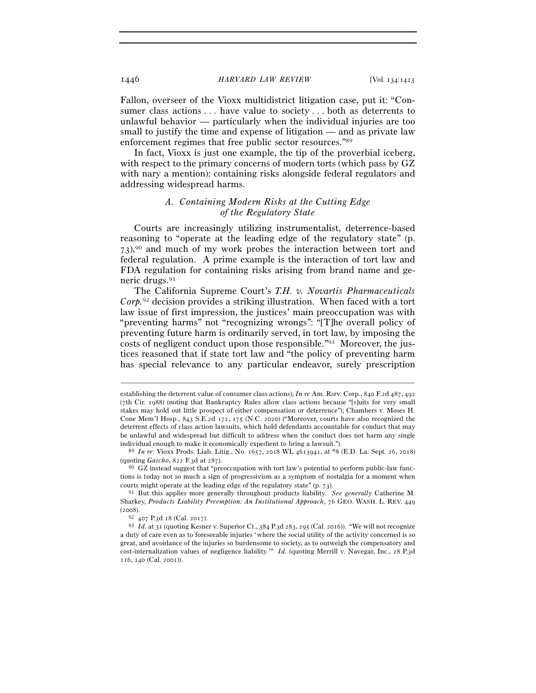Fallon, overseer of the Vioxx multidistrict litigation case, put it: "Consumer class actions . . . have value to society . . . both as deterrents to unlawful behavior — particularly when the individual injuries are too small to justify the time and expense of litigation — and as private law enforcement regimes that free public sector resources."89

In fact, Vioxx is just one example, the tip of the proverbial iceberg, with respect to the primary concerns of modern torts (which pass by GZ with nary a mention): containing risks alongside federal regulators and addressing widespread harms.

# *A. Containing Modern Risks at the Cutting Edge of the Regulatory State*

Courts are increasingly utilizing instrumentalist, deterrence-based reasoning to "operate at the leading edge of the regulatory state" (p. 73),90 and much of my work probes the interaction between tort and federal regulation. A prime example is the interaction of tort law and FDA regulation for containing risks arising from brand name and generic drugs.91

The California Supreme Court's *T.H. v. Novartis Pharmaceuticals Corp.*92 decision provides a striking illustration. When faced with a tort law issue of first impression, the justices' main preoccupation was with "preventing harms" not "recognizing wrongs": "[T]he overall policy of preventing future harm is ordinarily served, in tort law, by imposing the costs of negligent conduct upon those responsible."93 Moreover, the justices reasoned that if state tort law and "the policy of preventing harm has special relevance to any particular endeavor, surely prescription

establishing the deterrent value of consumer class actions); *In re* Am. Rsrv. Corp., 840 F.2d 487, 492 (7th Cir. 1988) (noting that Bankruptcy Rules allow class actions because "[s]uits for very small stakes may hold out little prospect of either compensation or deterrence"); Chambers v. Moses H. Cone Mem'l Hosp., 843 S.E.2d 172, 175 (N.C. 2020) ("Moreover, courts have also recognized the deterrent effects of class action lawsuits, which hold defendants accountable for conduct that may be unlawful and widespread but difficult to address when the conduct does not harm any single

individual enough to make it economically expedient to bring a lawsuit."). 89 *In re*: Vioxx Prods. Liab. Litig., No. 1657, 2018 WL 4613941, at \*8 (E.D. La. Sept. 26, 2018)

<sup>&</sup>lt;sup>90</sup> GZ instead suggest that "preoccupation with tort law's potential to perform public-law functions is today not so much a sign of progressivism as a symptom of nostalgia for a moment when courts might operate at the leading edge of the regulatory state"  $(p, 73)$ .

<sup>&</sup>lt;sup>91</sup> But this applies more generally throughout products liability. *See generally* Catherine M. Sharkey, *Products Liability Preemption: An Institutional Approach*, 76 GEO. WASH. L. REV. 449 (<sup>2008</sup>). 92 <sup>407</sup> P.3d 18 (Cal. <sup>2017</sup>). 93 *Id.* at 31 (quoting Kesner v. Superior Ct., 384 P.3d 283, 295 (Cal. 2016)). "We will not recognize

a duty of care even as to foreseeable injuries 'where the social utility of the activity concerned is so great, and avoidance of the injuries so burdensome to society, as to outweigh the compensatory and cost-internalization values of negligence liability.'" *Id.* (quoting Merrill v. Navegar, Inc., 28 P.3d 116, 140 (Cal. 2001)).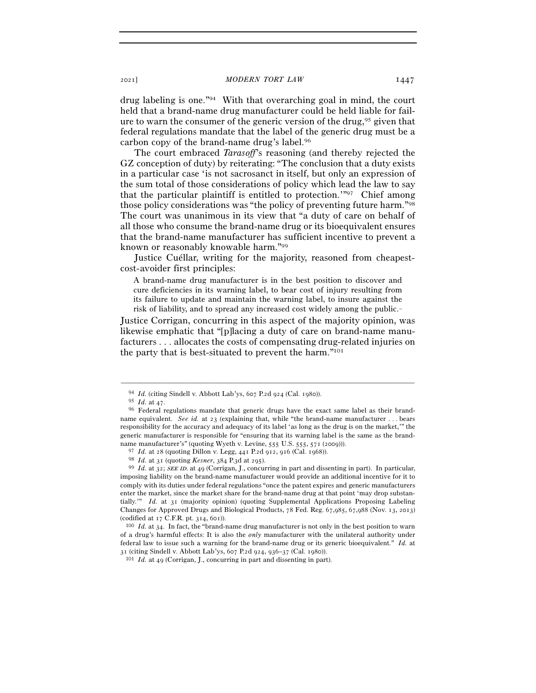drug labeling is one."94 With that overarching goal in mind, the court held that a brand-name drug manufacturer could be held liable for failure to warn the consumer of the generic version of the drug,<sup>95</sup> given that federal regulations mandate that the label of the generic drug must be a carbon copy of the brand-name drug's label.96

The court embraced *Tarasoff*'s reasoning (and thereby rejected the GZ conception of duty) by reiterating: "The conclusion that a duty exists in a particular case 'is not sacrosanct in itself, but only an expression of the sum total of those considerations of policy which lead the law to say that the particular plaintiff is entitled to protection.'"97 Chief among those policy considerations was "the policy of preventing future harm."98 The court was unanimous in its view that "a duty of care on behalf of all those who consume the brand-name drug or its bioequivalent ensures that the brand-name manufacturer has sufficient incentive to prevent a known or reasonably knowable harm."99

Justice Cuéllar, writing for the majority, reasoned from cheapestcost-avoider first principles:

A brand-name drug manufacturer is in the best position to discover and cure deficiencies in its warning label, to bear cost of injury resulting from its failure to update and maintain the warning label, to insure against the risk of liability, and to spread any increased cost widely among the public. $-$ 

Justice Corrigan, concurring in this aspect of the majority opinion, was likewise emphatic that "[p]lacing a duty of care on brand-name manufacturers . . . allocates the costs of compensating drug-related injuries on the party that is best-situated to prevent the harm."101

 $^{94}$   $\,ld$  (citing Sindell v. Abbott Lab'ys, 607 P.2d 924 (Cal. 1980)).  $^{95}$   $\,ld$  .at 47.

<sup>&</sup>lt;sup>96</sup> Federal regulations mandate that generic drugs have the exact same label as their brandname equivalent. *See id.* at 23 (explaining that, while "the brand-name manufacturer . . . bears responsibility for the accuracy and adequacy of its label 'as long as the drug is on the market,'" the generic manufacturer is responsible for "ensuring that its warning label is the same as the brandname manufacturer's" (quoting Wyeth v. Levine, 555 U.S. 555, 571 (2009))).<br> $97$  *Id.* at 28 (quoting Dillon v. Legg, 441 P.2d 912, 916 (Cal. 1968)).

<sup>&</sup>lt;sup>98</sup> *Id.* at 31 (quoting *Kesner*, 384 P.3d at 295).<br><sup>99</sup> *Id.* at 32; *SEE ID.* at 49 (Corrigan, J., concurring in part and dissenting in part). In particular, imposing liability on the brand-name manufacturer would provide an additional incentive for it to comply with its duties under federal regulations "once the patent expires and generic manufacturers enter the market, since the market share for the brand-name drug at that point 'may drop substantially.'" *Id.* at 31 (majority opinion) (quoting Supplemental Applications Proposing Labeling Changes for Approved Drugs and Biological Products, 78 Fed. Reg. 67,985, 67,988 (Nov. 13, 2013) (codified at  $17$  C.F.R. pt. 314, 601)).<br><sup>100</sup> *Id.* at 34. In fact, the "brand-name drug manufacturer is not only in the best position to warn

of a drug's harmful effects: It is also the *only* manufacturer with the unilateral authority under federal law to issue such a warning for the brand-name drug or its generic bioequivalent." *Id.* at <sup>31</sup> (citing Sindell v. Abbott Lab'ys, 607 P.2d 924, 936–37 (Cal. 1980)). 101 *Id.* at 49 (Corrigan, J., concurring in part and dissenting in part).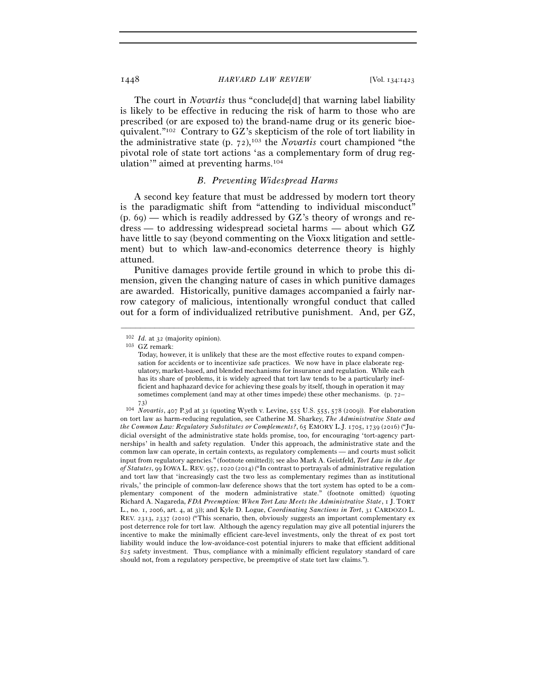The court in *Novartis* thus "conclude[d] that warning label liability is likely to be effective in reducing the risk of harm to those who are prescribed (or are exposed to) the brand-name drug or its generic bioequivalent."102 Contrary to GZ's skepticism of the role of tort liability in the administrative state (p. 72),103 the *Novartis* court championed "the pivotal role of state tort actions 'as a complementary form of drug regulation'" aimed at preventing harms.104

### *B. Preventing Widespread Harms*

A second key feature that must be addressed by modern tort theory is the paradigmatic shift from "attending to individual misconduct"  $(p, 69)$  — which is readily addressed by GZ's theory of wrongs and redress — to addressing widespread societal harms — about which GZ have little to say (beyond commenting on the Vioxx litigation and settlement) but to which law-and-economics deterrence theory is highly attuned.

Punitive damages provide fertile ground in which to probe this dimension, given the changing nature of cases in which punitive damages are awarded. Historically, punitive damages accompanied a fairly narrow category of malicious, intentionally wrongful conduct that called out for a form of individualized retributive punishment. And, per GZ,

<sup>102</sup> *Id.* at 32 (majority opinion).

<sup>103</sup> GZ remark:

Today, however, it is unlikely that these are the most effective routes to expand compensation for accidents or to incentivize safe practices. We now have in place elaborate regulatory, market-based, and blended mechanisms for insurance and regulation. While each has its share of problems, it is widely agreed that tort law tends to be a particularly inefficient and haphazard device for achieving these goals by itself, though in operation it may sometimes complement (and may at other times impede) these other mechanisms. (p. 72–

<sup>73</sup>) 104 *Novartis*, 407 P.3d at 31 (quoting Wyeth v. Levine, 555 U.S. 555, 578 (2009)). For elaboration on tort law as harm-reducing regulation, see Catherine M. Sharkey, *The Administrative State and the Common Law: Regulatory Substitutes or Complements?*, 65 EMORY L.J. 1705, 1739 (2016) ("Judicial oversight of the administrative state holds promise, too, for encouraging 'tort-agency partnerships' in health and safety regulation. Under this approach, the administrative state and the common law can operate, in certain contexts, as regulatory complements — and courts must solicit input from regulatory agencies." (footnote omitted)); see also Mark A. Geistfeld, *Tort Law in the Age of Statutes*, 99 IOWA L. REV. 957, 1020 (2014) ("In contrast to portrayals of administrative regulation and tort law that 'increasingly cast the two less as complementary regimes than as institutional rivals,' the principle of common-law deference shows that the tort system has opted to be a complementary component of the modern administrative state." (footnote omitted) (quoting Richard A. Nagareda, *FDA Preemption: When Tort Law Meets the Administrative State*, 1 J. TORT L., no. 1, 2006, art. 4, at 3)); and Kyle D. Logue, *Coordinating Sanctions in Tort*, 31 CARDOZO L. REV. 2313, 2337 (2010) ("This scenario, then, obviously suggests an important complementary ex post deterrence role for tort law. Although the agency regulation may give all potential injurers the incentive to make the minimally efficient care-level investments, only the threat of ex post tort liability would induce the low-avoidance-cost potential injurers to make that efficient additional \$25 safety investment. Thus, compliance with a minimally efficient regulatory standard of care should not, from a regulatory perspective, be preemptive of state tort law claims.").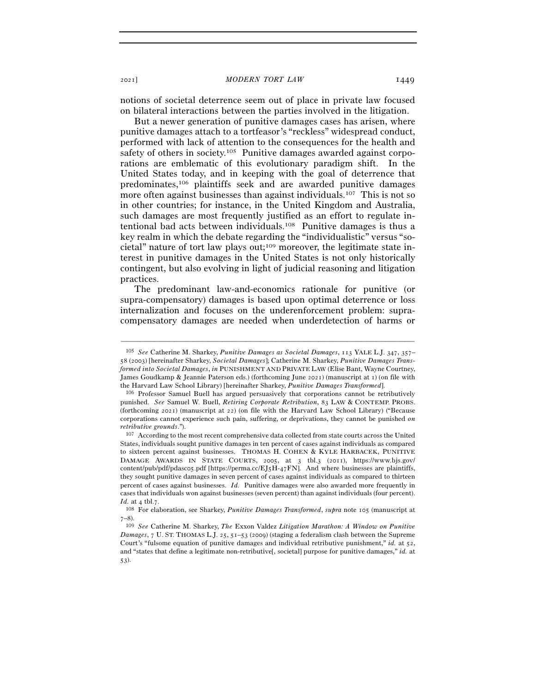notions of societal deterrence seem out of place in private law focused on bilateral interactions between the parties involved in the litigation.

But a newer generation of punitive damages cases has arisen, where punitive damages attach to a tortfeasor's "reckless" widespread conduct, performed with lack of attention to the consequences for the health and safety of others in society.<sup>105</sup> Punitive damages awarded against corporations are emblematic of this evolutionary paradigm shift. In the United States today, and in keeping with the goal of deterrence that predominates,106 plaintiffs seek and are awarded punitive damages more often against businesses than against individuals.<sup>107</sup> This is not so in other countries; for instance, in the United Kingdom and Australia, such damages are most frequently justified as an effort to regulate intentional bad acts between individuals.108 Punitive damages is thus a key realm in which the debate regarding the "individualistic" versus "societal" nature of tort law plays out;109 moreover, the legitimate state interest in punitive damages in the United States is not only historically contingent, but also evolving in light of judicial reasoning and litigation practices.

The predominant law-and-economics rationale for punitive (or supra-compensatory) damages is based upon optimal deterrence or loss internalization and focuses on the underenforcement problem: supracompensatory damages are needed when underdetection of harms or

<sup>105</sup> *See* Catherine M. Sharkey, *Punitive Damages as Societal Damages*, 113 YALE L.J. 347, 357– 58 (2003) [hereinafter Sharkey, *Societal Damages*]; Catherine M. Sharkey, *Punitive Damages Transformed into Societal Damages*, *in* PUNISHMENT AND PRIVATE LAW (Elise Bant, Wayne Courtney, James Goudkamp & Jeannie Paterson eds.) (forthcoming June 2021) (manuscript at 1) (on file with the Harvard Law School Library) [hereinafter Sharkey, *Punitive Damages Transformed*]. 106 Professor Samuel Buell has argued persuasively that corporations cannot be retributively

punished. *See* Samuel W. Buell, *Retiring Corporate Retribution*, 83 LAW & CONTEMP. PROBS. (forthcoming 2021) (manuscript at 22) (on file with the Harvard Law School Library) ("Because corporations cannot experience such pain, suffering, or deprivations, they cannot be punished *on retributive grounds*."). 107 According to the most recent comprehensive data collected from state courts across the United

States, individuals sought punitive damages in ten percent of cases against individuals as compared to sixteen percent against businesses. THOMAS H. COHEN & KYLE HARBACEK, PUNITIVE DAMAGE AWARDS IN STATE COURTS, 2005, at 3 tbl.3 (2011), https://www.bjs.gov/ content/pub/pdf/pdasco5.pdf [https://perma.cc/EJ5H-47FN]. And where businesses are plaintiffs, they sought punitive damages in seven percent of cases against individuals as compared to thirteen percent of cases against businesses. *Id.* Punitive damages were also awarded more frequently in cases that individuals won against businesses (seven percent) than against individuals (four percent). *Id.* at 4 tbl.7. 108 For elaboration, see Sharkey, *Punitive Damages Transformed*, *supra* note 105 (manuscript at

<sup>7</sup>–8).

<sup>109</sup> *See* Catherine M. Sharkey, *The* Exxon Valdez *Litigation Marathon: A Window on Punitive Damages*, 7 U. ST. THOMAS L.J. 25, 51–53 (2009) (staging a federalism clash between the Supreme Court's "fulsome equation of punitive damages and individual retributive punishment," *id.* at 52, and "states that define a legitimate non-retributive[, societal] purpose for punitive damages," *id.* at 53).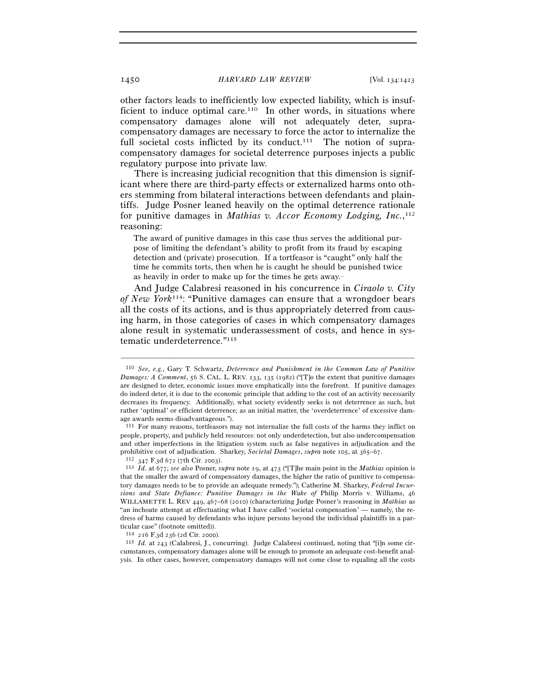other factors leads to inefficiently low expected liability, which is insufficient to induce optimal care.<sup>110</sup> In other words, in situations where compensatory damages alone will not adequately deter, supracompensatory damages are necessary to force the actor to internalize the full societal costs inflicted by its conduct.<sup>111</sup> The notion of supracompensatory damages for societal deterrence purposes injects a public regulatory purpose into private law.

There is increasing judicial recognition that this dimension is significant where there are third-party effects or externalized harms onto others stemming from bilateral interactions between defendants and plaintiffs. Judge Posner leaned heavily on the optimal deterrence rationale for punitive damages in *Mathias v. Accor Economy Lodging, Inc.*, 112 reasoning:

The award of punitive damages in this case thus serves the additional purpose of limiting the defendant's ability to profit from its fraud by escaping detection and (private) prosecution. If a tortfeasor is "caught" only half the time he commits torts, then when he is caught he should be punished twice as heavily in order to make up for the times he gets away.

And Judge Calabresi reasoned in his concurrence in *Ciraolo v. City of New York*114: "Punitive damages can ensure that a wrongdoer bears all the costs of its actions, and is thus appropriately deterred from causing harm, in those categories of cases in which compensatory damages alone result in systematic underassessment of costs, and hence in systematic underdeterrence."115

<sup>110</sup> *See, e.g.*, Gary T. Schwartz, *Deterrence and Punishment in the Common Law of Punitive Damages: A Comment*, 56 S. CAL. L. REV. 133, 135 (1982) ("[T]o the extent that punitive damages are designed to deter, economic issues move emphatically into the forefront. If punitive damages do indeed deter, it is due to the economic principle that adding to the cost of an activity necessarily decreases its frequency. Additionally, what society evidently seeks is not deterrence as such, but rather 'optimal' or efficient deterrence; as an initial matter, the 'overdeterrence' of excessive damage awards seems disadvantageous.").

<sup>111</sup> For many reasons, tortfeasors may not internalize the full costs of the harms they inflict on people, property, and publicly held resources: not only underdetection, but also undercompensation and other imperfections in the litigation system such as false negatives in adjudication and the prohibitive cost of adjudication. Sharkey, *Societal Damages*, *supra* note 105, at 365–67.<br><sup>112</sup> 347 F.3d 672 (7th Cir. 2003).<br><sup>113</sup> Id. at 677; *see also* Posner, *supra* note 19, at 473 ("[T]he main point in the *Mathi* 

that the smaller the award of compensatory damages, the higher the ratio of punitive to compensatory damages needs to be to provide an adequate remedy."); Catherine M. Sharkey, *Federal Incursions and State Defiance: Punitive Damages in the Wake of* Philip Morris v. Williams, 46 WILLAMETTE L. REV 449, 467–68 (2010) (characterizing Judge Posner's reasoning in *Mathias* as "an inchoate attempt at effectuating what I have called 'societal compensation' — namely, the redress of harms caused by defendants who injure persons beyond the individual plaintiffs in a particular case" (footnote omitted)).

<sup>114</sup> <sup>216</sup> F.3d 236 (2d Cir. <sup>2000</sup>). 115 *Id.* at 243 (Calabresi, J., concurring). Judge Calabresi continued, noting that "[i]n some circumstances, compensatory damages alone will be enough to promote an adequate cost-benefit analysis. In other cases, however, compensatory damages will not come close to equaling all the costs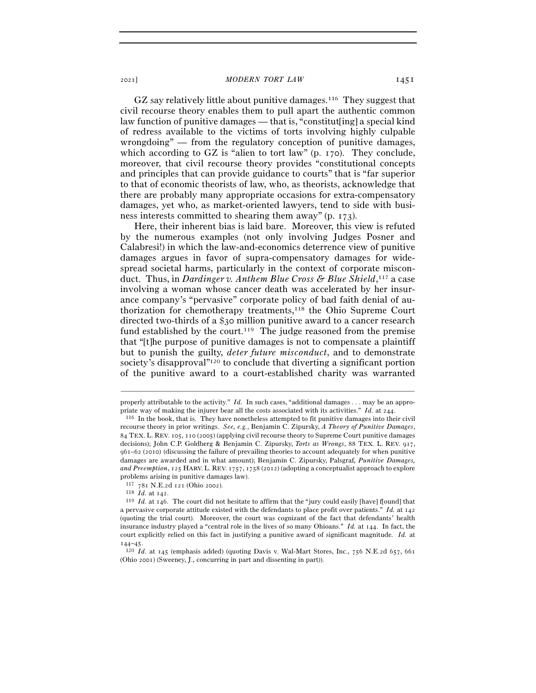GZ say relatively little about punitive damages.116 They suggest that civil recourse theory enables them to pull apart the authentic common law function of punitive damages — that is, "constitut[ing] a special kind of redress available to the victims of torts involving highly culpable wrongdoing" — from the regulatory conception of punitive damages, which according to GZ is "alien to tort law" (p. 170). They conclude, moreover, that civil recourse theory provides "constitutional concepts and principles that can provide guidance to courts" that is "far superior to that of economic theorists of law, who, as theorists, acknowledge that there are probably many appropriate occasions for extra-compensatory damages, yet who, as market-oriented lawyers, tend to side with business interests committed to shearing them away" (p. 173).

Here, their inherent bias is laid bare. Moreover, this view is refuted by the numerous examples (not only involving Judges Posner and Calabresi!) in which the law-and-economics deterrence view of punitive damages argues in favor of supra-compensatory damages for widespread societal harms, particularly in the context of corporate misconduct. Thus, in *Dardinger v. Anthem Blue Cross & Blue Shield*, 117 a case involving a woman whose cancer death was accelerated by her insurance company's "pervasive" corporate policy of bad faith denial of authorization for chemotherapy treatments,118 the Ohio Supreme Court directed two-thirds of a \$30 million punitive award to a cancer research fund established by the court.<sup>119</sup> The judge reasoned from the premise that "[t]he purpose of punitive damages is not to compensate a plaintiff but to punish the guilty, *deter future misconduct*, and to demonstrate society's disapproval"120 to conclude that diverting a significant portion of the punitive award to a court-established charity was warranted

<sup>–––––––––––––––––––––––––––––––––––––––––––––––––––––––––––––</sup> properly attributable to the activity." *Id.* In such cases, "additional damages . . . may be an appropriate way of making the injurer bear all the costs associated with its activities." *Id.* at 244.<br><sup>116</sup> In the book, that is. They have nonetheless attempted to fit punitive damages into their civil

recourse theory in prior writings. *See, e.g.*, Benjamin C. Zipursky, *A Theory of Punitive Damages*, 84 TEX. L. REV. 105, 110 (2005) (applying civil recourse theory to Supreme Court punitive damages decisions); John C.P. Goldberg & Benjamin C. Zipursky, *Torts as Wrongs*, 88 TEX. L. REV. 917, 961–62 (2010) (discussing the failure of prevailing theories to account adequately for when punitive damages are awarded and in what amount); Benjamin C. Zipursky, Palsgraf*, Punitive Damages, and Preemption*, 125 HARV. L. REV. 1757, 1758 (2012) (adopting a conceptualist approach to explore problems arising in punitive damages law).<br> $117$  781 N.E.2d 121 (Ohio 2002).

<sup>118</sup> *Id.* at 142.<br><sup>119</sup> *Id.* at 146. The court did not hesitate to affirm that the "jury could easily [have] f[ound] that a pervasive corporate attitude existed with the defendants to place profit over patients." *Id.* at 142 (quoting the trial court). Moreover, the court was cognizant of the fact that defendants' health insurance industry played a "central role in the lives of so many Ohioans." *Id.* at 144. In fact, the court explicitly relied on this fact in justifying a punitive award of significant magnitude. *Id.* at <sup>144</sup>–<sup>45</sup>. 120 *Id.* at 145 (emphasis added) (quoting Davis v. Wal-Mart Stores, Inc., 756 N.E.2d 657, <sup>661</sup>

<sup>(</sup>Ohio 2001) (Sweeney, J., concurring in part and dissenting in part)).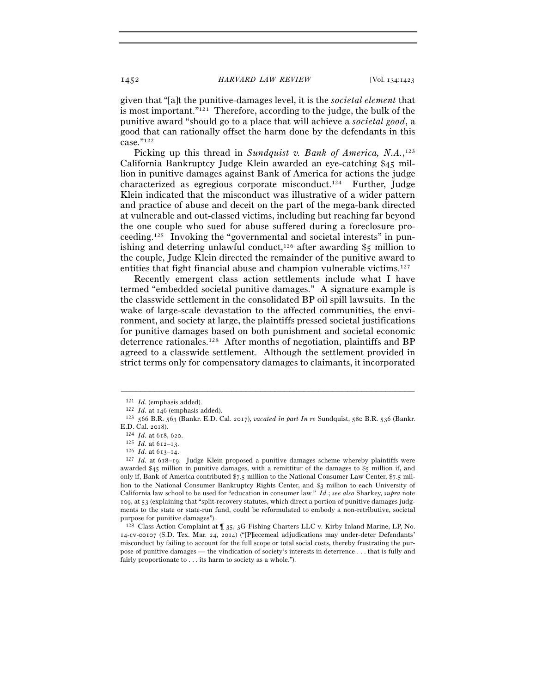given that "[a]t the punitive-damages level, it is the *societal element* that is most important."121 Therefore, according to the judge, the bulk of the punitive award "should go to a place that will achieve a *societal good*, a good that can rationally offset the harm done by the defendants in this case."122

Picking up this thread in *Sundquist v. Bank of America*, N.A.,<sup>123</sup> California Bankruptcy Judge Klein awarded an eye-catching \$45 million in punitive damages against Bank of America for actions the judge characterized as egregious corporate misconduct.124 Further, Judge Klein indicated that the misconduct was illustrative of a wider pattern and practice of abuse and deceit on the part of the mega-bank directed at vulnerable and out-classed victims, including but reaching far beyond the one couple who sued for abuse suffered during a foreclosure proceeding.125 Invoking the "governmental and societal interests" in punishing and deterring unlawful conduct,<sup>126</sup> after awarding  $\frac{1}{5}$  million to the couple, Judge Klein directed the remainder of the punitive award to entities that fight financial abuse and champion vulnerable victims.127

Recently emergent class action settlements include what I have termed "embedded societal punitive damages." A signature example is the classwide settlement in the consolidated BP oil spill lawsuits. In the wake of large-scale devastation to the affected communities, the environment, and society at large, the plaintiffs pressed societal justifications for punitive damages based on both punishment and societal economic deterrence rationales.128 After months of negotiation, plaintiffs and BP agreed to a classwide settlement. Although the settlement provided in strict terms only for compensatory damages to claimants, it incorporated

<sup>121</sup> *Id.* (emphasis added). 122 *Id.* at <sup>146</sup> (emphasis added). 123 <sup>566</sup> B.R. 563 (Bankr. E.D. Cal. 2017), *vacated in part In re* Sundquist, 580 B.R. 536 (Bankr.

E.D. Cal. 2018).<br><sup>124</sup> *Id.* at 618, 620.<br><sup>125</sup> *Id.* at 612–13.<br><sup>126</sup> *Id.* at 613–14.<br><sup>127</sup> *Id.* at 618–19. Judge Klein proposed a punitive damages scheme whereby plaintiffs were awarded \$45 million in punitive damages, with a remittitur of the damages to \$5 million if, and only if, Bank of America contributed \$7.5 million to the National Consumer Law Center, \$7.5 million to the National Consumer Bankruptcy Rights Center, and \$3 million to each University of California law school to be used for "education in consumer law." *Id.*; *see also* Sharkey, *supra* note 109, at 53 (explaining that "split-recovery statutes, which direct a portion of punitive damages judgments to the state or state-run fund, could be reformulated to embody a non-retributive, societal purpose for punitive damages").

<sup>128</sup> Class Action Complaint at ¶ 35, 3G Fishing Charters LLC v. Kirby Inland Marine, LP, No. 14-cv-00107 (S.D. Tex. Mar. 24, 2014) ("[P]iecemeal adjudications may under-deter Defendants' misconduct by failing to account for the full scope or total social costs, thereby frustrating the purpose of punitive damages — the vindication of society's interests in deterrence . . . that is fully and fairly proportionate to . . . its harm to society as a whole.").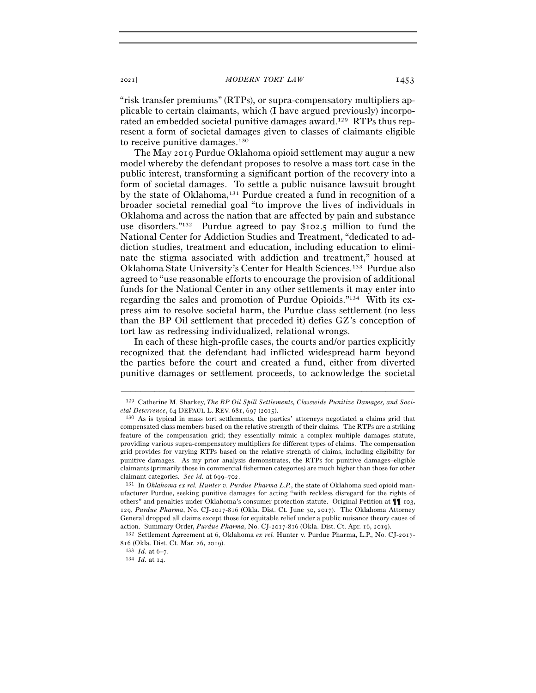"risk transfer premiums" (RTPs), or supra-compensatory multipliers applicable to certain claimants, which (I have argued previously) incorporated an embedded societal punitive damages award.129 RTPs thus represent a form of societal damages given to classes of claimants eligible to receive punitive damages.130

The May 2019 Purdue Oklahoma opioid settlement may augur a new model whereby the defendant proposes to resolve a mass tort case in the public interest, transforming a significant portion of the recovery into a form of societal damages. To settle a public nuisance lawsuit brought by the state of Oklahoma,131 Purdue created a fund in recognition of a broader societal remedial goal "to improve the lives of individuals in Oklahoma and across the nation that are affected by pain and substance use disorders."132 Purdue agreed to pay \$102.5 million to fund the National Center for Addiction Studies and Treatment, "dedicated to addiction studies, treatment and education, including education to eliminate the stigma associated with addiction and treatment," housed at Oklahoma State University's Center for Health Sciences.133 Purdue also agreed to "use reasonable efforts to encourage the provision of additional funds for the National Center in any other settlements it may enter into regarding the sales and promotion of Purdue Opioids."134 With its express aim to resolve societal harm, the Purdue class settlement (no less than the BP Oil settlement that preceded it) defies GZ's conception of tort law as redressing individualized, relational wrongs.

In each of these high-profile cases, the courts and/or parties explicitly recognized that the defendant had inflicted widespread harm beyond the parties before the court and created a fund, either from diverted punitive damages or settlement proceeds, to acknowledge the societal

<sup>–––––––––––––––––––––––––––––––––––––––––––––––––––––––––––––</sup> 129 Catherine M. Sharkey, *The BP Oil Spill Settlements, Classwide Punitive Damages, and Societal Deterrence*, 64 DEPAUL L. REV. 681, 697 (2015).<br><sup>130</sup> As is typical in mass tort settlements, the parties' attorneys negotiated a claims grid that

compensated class members based on the relative strength of their claims. The RTPs are a striking feature of the compensation grid; they essentially mimic a complex multiple damages statute, providing various supra-compensatory multipliers for different types of claims. The compensation grid provides for varying RTPs based on the relative strength of claims, including eligibility for punitive damages. As my prior analysis demonstrates, the RTPs for punitive damages–eligible claimants (primarily those in commercial fishermen categories) are much higher than those for other claimant categories. *See id.* at 699–<sup>702</sup>. 131 In *Oklahoma ex rel. Hunter v. Purdue Pharma L.P.*, the state of Oklahoma sued opioid man-

ufacturer Purdue, seeking punitive damages for acting "with reckless disregard for the rights of others" and penalties under Oklahoma's consumer protection statute. Original Petition at ¶¶ 103, 129, *Purdue Pharma*, No. CJ-2017-816 (Okla. Dist. Ct. June 30, 2017). The Oklahoma Attorney General dropped all claims except those for equitable relief under a public nuisance theory cause of action. Summary Order, *Purdue Pharma*, No. CJ-2017-816 (Okla. Dist. Ct. Apr. 16, <sup>2019</sup>). 132 Settlement Agreement at 6, Oklahoma *ex rel.* Hunter v. Purdue Pharma, L.P., No. CJ-2017-

<sup>816</sup> (Okla. Dist. Ct. Mar. 26, <sup>2019</sup>). 133 *Id.* at 6–<sup>7</sup>. 134 *Id.* at 14.